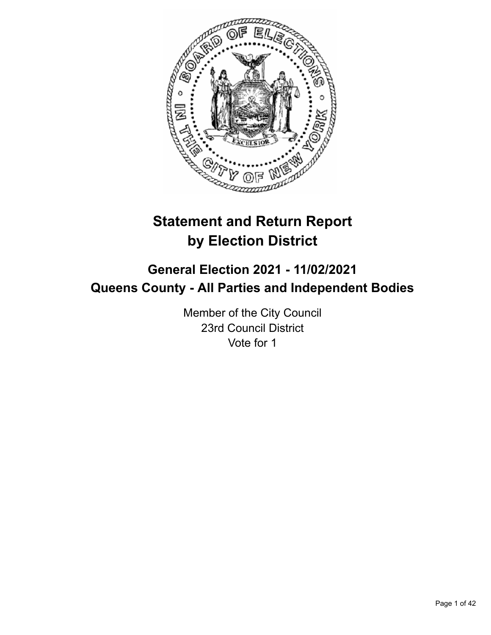

# **Statement and Return Report by Election District**

# **General Election 2021 - 11/02/2021 Queens County - All Parties and Independent Bodies**

Member of the City Council 23rd Council District Vote for 1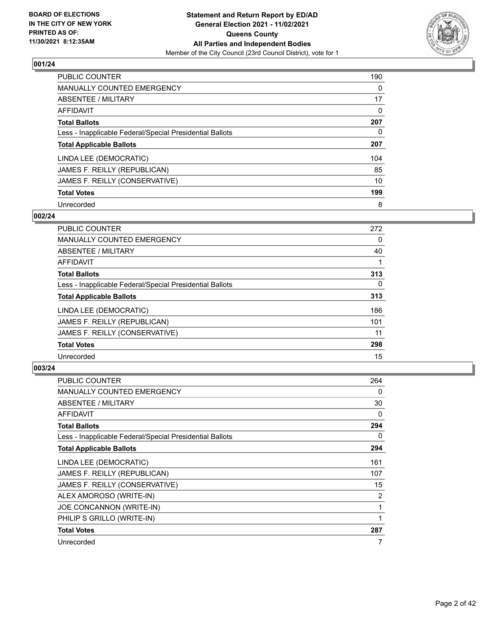

| <b>PUBLIC COUNTER</b>                                    | 190      |
|----------------------------------------------------------|----------|
| MANUALLY COUNTED EMERGENCY                               | $\Omega$ |
| ABSENTEE / MILITARY                                      | 17       |
| AFFIDAVIT                                                | $\Omega$ |
| <b>Total Ballots</b>                                     | 207      |
| Less - Inapplicable Federal/Special Presidential Ballots | 0        |
| <b>Total Applicable Ballots</b>                          | 207      |
| LINDA LEE (DEMOCRATIC)                                   | 104      |
| JAMES F. REILLY (REPUBLICAN)                             | 85       |
| JAMES F. REILLY (CONSERVATIVE)                           | 10       |
| <b>Total Votes</b>                                       | 199      |
| Unrecorded                                               | 8        |

#### **002/24**

| <b>PUBLIC COUNTER</b>                                    | 272      |
|----------------------------------------------------------|----------|
| <b>MANUALLY COUNTED EMERGENCY</b>                        | $\Omega$ |
| ABSENTEE / MILITARY                                      | 40       |
| <b>AFFIDAVIT</b>                                         |          |
| <b>Total Ballots</b>                                     | 313      |
| Less - Inapplicable Federal/Special Presidential Ballots | $\Omega$ |
| <b>Total Applicable Ballots</b>                          | 313      |
| LINDA LEE (DEMOCRATIC)                                   | 186      |
| JAMES F. REILLY (REPUBLICAN)                             | 101      |
| JAMES F. REILLY (CONSERVATIVE)                           | 11       |
| <b>Total Votes</b>                                       | 298      |
| Unrecorded                                               | 15       |

| <b>PUBLIC COUNTER</b>                                    | 264 |
|----------------------------------------------------------|-----|
| <b>MANUALLY COUNTED EMERGENCY</b>                        | 0   |
| ABSENTEE / MILITARY                                      | 30  |
| AFFIDAVIT                                                | 0   |
| <b>Total Ballots</b>                                     | 294 |
| Less - Inapplicable Federal/Special Presidential Ballots | 0   |
| <b>Total Applicable Ballots</b>                          | 294 |
| LINDA LEE (DEMOCRATIC)                                   | 161 |
| JAMES F. REILLY (REPUBLICAN)                             | 107 |
| JAMES F. REILLY (CONSERVATIVE)                           | 15  |
| ALEX AMOROSO (WRITE-IN)                                  | 2   |
| JOE CONCANNON (WRITE-IN)                                 | 1   |
| PHILIP S GRILLO (WRITE-IN)                               | 1   |
| <b>Total Votes</b>                                       | 287 |
| Unrecorded                                               | 7   |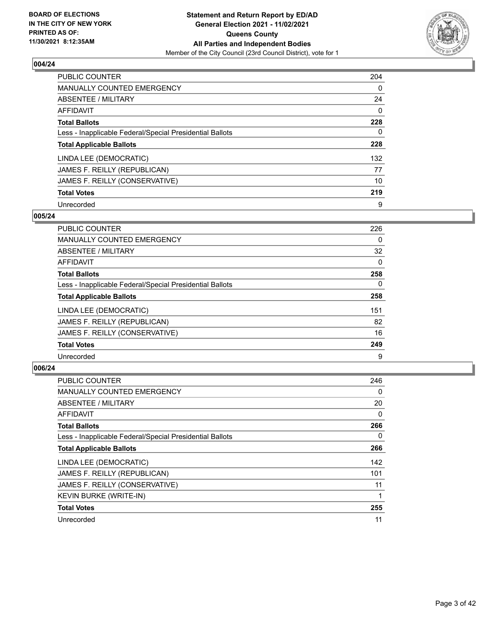

| <b>PUBLIC COUNTER</b>                                    | 204      |
|----------------------------------------------------------|----------|
| MANUALLY COUNTED EMERGENCY                               | $\Omega$ |
| ABSENTEE / MILITARY                                      | 24       |
| AFFIDAVIT                                                | 0        |
| <b>Total Ballots</b>                                     | 228      |
| Less - Inapplicable Federal/Special Presidential Ballots | 0        |
| <b>Total Applicable Ballots</b>                          | 228      |
| LINDA LEE (DEMOCRATIC)                                   | 132      |
| JAMES F. REILLY (REPUBLICAN)                             | 77       |
| JAMES F. REILLY (CONSERVATIVE)                           | 10       |
| <b>Total Votes</b>                                       | 219      |
| Unrecorded                                               | 9        |

#### **005/24**

| <b>PUBLIC COUNTER</b>                                    | 226      |
|----------------------------------------------------------|----------|
| <b>MANUALLY COUNTED EMERGENCY</b>                        | 0        |
| ABSENTEE / MILITARY                                      | 32       |
| <b>AFFIDAVIT</b>                                         | $\Omega$ |
| <b>Total Ballots</b>                                     | 258      |
| Less - Inapplicable Federal/Special Presidential Ballots | $\Omega$ |
| <b>Total Applicable Ballots</b>                          | 258      |
| LINDA LEE (DEMOCRATIC)                                   | 151      |
| JAMES F. REILLY (REPUBLICAN)                             | 82       |
| JAMES F. REILLY (CONSERVATIVE)                           | 16       |
| <b>Total Votes</b>                                       | 249      |
| Unrecorded                                               | 9        |

| <b>PUBLIC COUNTER</b>                                    | 246      |
|----------------------------------------------------------|----------|
| MANUALLY COUNTED EMERGENCY                               | 0        |
| ABSENTEE / MILITARY                                      | 20       |
| AFFIDAVIT                                                | $\Omega$ |
| <b>Total Ballots</b>                                     | 266      |
| Less - Inapplicable Federal/Special Presidential Ballots | 0        |
| <b>Total Applicable Ballots</b>                          | 266      |
| LINDA LEE (DEMOCRATIC)                                   | 142      |
| JAMES F. REILLY (REPUBLICAN)                             | 101      |
| JAMES F. REILLY (CONSERVATIVE)                           | 11       |
| KEVIN BURKE (WRITE-IN)                                   |          |
| <b>Total Votes</b>                                       | 255      |
| Unrecorded                                               | 11       |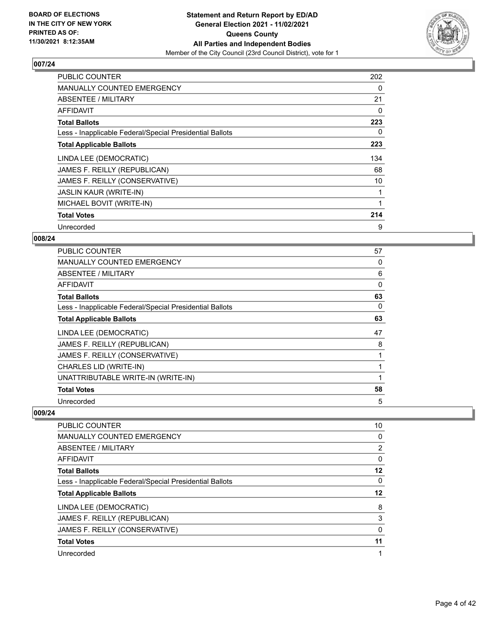

| <b>PUBLIC COUNTER</b>                                    | 202 |
|----------------------------------------------------------|-----|
| MANUALLY COUNTED EMERGENCY                               | 0   |
| ABSENTEE / MILITARY                                      | 21  |
| AFFIDAVIT                                                | 0   |
| <b>Total Ballots</b>                                     | 223 |
| Less - Inapplicable Federal/Special Presidential Ballots | 0   |
| <b>Total Applicable Ballots</b>                          | 223 |
| LINDA LEE (DEMOCRATIC)                                   | 134 |
| JAMES F. REILLY (REPUBLICAN)                             | 68  |
| JAMES F. REILLY (CONSERVATIVE)                           | 10  |
| <b>JASLIN KAUR (WRITE-IN)</b>                            |     |
| MICHAEL BOVIT (WRITE-IN)                                 |     |
|                                                          |     |
| <b>Total Votes</b>                                       | 214 |

# **008/24**

| <b>PUBLIC COUNTER</b>                                    | 57       |
|----------------------------------------------------------|----------|
| <b>MANUALLY COUNTED EMERGENCY</b>                        | 0        |
| ABSENTEE / MILITARY                                      | 6        |
| AFFIDAVIT                                                | $\Omega$ |
| <b>Total Ballots</b>                                     | 63       |
| Less - Inapplicable Federal/Special Presidential Ballots | 0        |
| <b>Total Applicable Ballots</b>                          | 63       |
| LINDA LEE (DEMOCRATIC)                                   | 47       |
| JAMES F. REILLY (REPUBLICAN)                             | 8        |
| JAMES F. REILLY (CONSERVATIVE)                           |          |
| CHARLES LID (WRITE-IN)                                   |          |
| UNATTRIBUTABLE WRITE-IN (WRITE-IN)                       |          |
| <b>Total Votes</b>                                       | 58       |
| Unrecorded                                               | 5        |

| <b>PUBLIC COUNTER</b>                                    | 10 |
|----------------------------------------------------------|----|
| <b>MANUALLY COUNTED EMERGENCY</b>                        | 0  |
| ABSENTEE / MILITARY                                      | 2  |
| AFFIDAVIT                                                | 0  |
| <b>Total Ballots</b>                                     | 12 |
| Less - Inapplicable Federal/Special Presidential Ballots | 0  |
| <b>Total Applicable Ballots</b>                          | 12 |
| LINDA LEE (DEMOCRATIC)                                   | 8  |
| JAMES F. REILLY (REPUBLICAN)                             | 3  |
| JAMES F. REILLY (CONSERVATIVE)                           | 0  |
|                                                          |    |
| <b>Total Votes</b>                                       | 11 |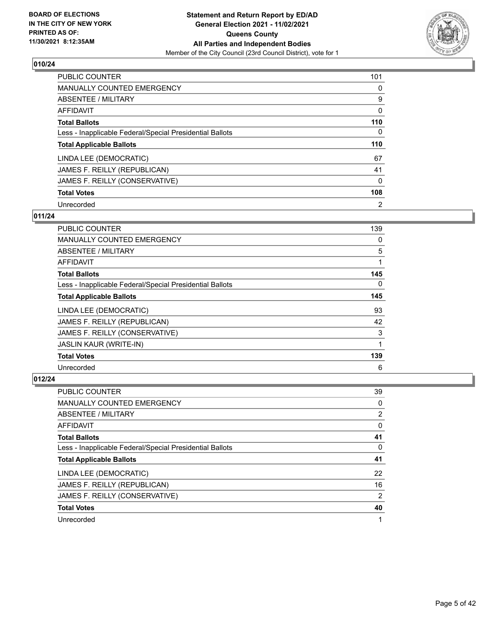

| PUBLIC COUNTER                                           | 101            |
|----------------------------------------------------------|----------------|
| MANUALLY COUNTED EMERGENCY                               | $\Omega$       |
| ABSENTEE / MILITARY                                      | 9              |
| AFFIDAVIT                                                | 0              |
| <b>Total Ballots</b>                                     | 110            |
| Less - Inapplicable Federal/Special Presidential Ballots | 0              |
| <b>Total Applicable Ballots</b>                          | 110            |
| LINDA LEE (DEMOCRATIC)                                   | 67             |
| JAMES F. REILLY (REPUBLICAN)                             | 41             |
| JAMES F. REILLY (CONSERVATIVE)                           | 0              |
| <b>Total Votes</b>                                       | 108            |
| Unrecorded                                               | $\overline{2}$ |

#### **011/24**

| <b>PUBLIC COUNTER</b>                                    | 139 |
|----------------------------------------------------------|-----|
| <b>MANUALLY COUNTED EMERGENCY</b>                        | 0   |
| ABSENTEE / MILITARY                                      | 5   |
| <b>AFFIDAVIT</b>                                         |     |
| <b>Total Ballots</b>                                     | 145 |
| Less - Inapplicable Federal/Special Presidential Ballots | 0   |
| <b>Total Applicable Ballots</b>                          | 145 |
| LINDA LEE (DEMOCRATIC)                                   | 93  |
| JAMES F. REILLY (REPUBLICAN)                             | 42  |
| JAMES F. REILLY (CONSERVATIVE)                           | 3   |
| <b>JASLIN KAUR (WRITE-IN)</b>                            |     |
| <b>Total Votes</b>                                       | 139 |
| Unrecorded                                               | 6   |

| <b>PUBLIC COUNTER</b>                                    | 39             |
|----------------------------------------------------------|----------------|
| <b>MANUALLY COUNTED EMERGENCY</b>                        | 0              |
| ABSENTEE / MILITARY                                      | 2              |
| AFFIDAVIT                                                | $\Omega$       |
| <b>Total Ballots</b>                                     | 41             |
| Less - Inapplicable Federal/Special Presidential Ballots | 0              |
| <b>Total Applicable Ballots</b>                          | 41             |
| LINDA LEE (DEMOCRATIC)                                   | 22             |
|                                                          | 16             |
| JAMES F. REILLY (REPUBLICAN)                             |                |
| JAMES F. REILLY (CONSERVATIVE)                           | $\overline{2}$ |
| <b>Total Votes</b>                                       | 40             |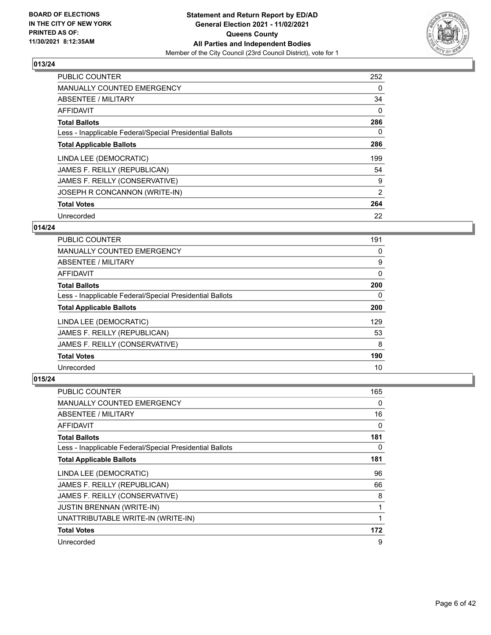

| <b>PUBLIC COUNTER</b>                                    | 252      |
|----------------------------------------------------------|----------|
| MANUALLY COUNTED EMERGENCY                               | $\Omega$ |
| ABSENTEE / MILITARY                                      | 34       |
| <b>AFFIDAVIT</b>                                         | $\Omega$ |
| <b>Total Ballots</b>                                     | 286      |
| Less - Inapplicable Federal/Special Presidential Ballots | 0        |
| <b>Total Applicable Ballots</b>                          | 286      |
| LINDA LEE (DEMOCRATIC)                                   | 199      |
| JAMES F. REILLY (REPUBLICAN)                             | 54       |
| JAMES F. REILLY (CONSERVATIVE)                           | 9        |
| JOSEPH R CONCANNON (WRITE-IN)                            | 2        |
| <b>Total Votes</b>                                       | 264      |
| Unrecorded                                               | 22       |

# **014/24**

| <b>PUBLIC COUNTER</b>                                    | 191      |
|----------------------------------------------------------|----------|
| <b>MANUALLY COUNTED EMERGENCY</b>                        | 0        |
| ABSENTEE / MILITARY                                      | 9        |
| <b>AFFIDAVIT</b>                                         | $\Omega$ |
| <b>Total Ballots</b>                                     | 200      |
| Less - Inapplicable Federal/Special Presidential Ballots | 0        |
| <b>Total Applicable Ballots</b>                          | 200      |
| LINDA LEE (DEMOCRATIC)                                   | 129      |
| JAMES F. REILLY (REPUBLICAN)                             | 53       |
| JAMES F. REILLY (CONSERVATIVE)                           | 8        |
| <b>Total Votes</b>                                       | 190      |
| Unrecorded                                               | 10       |

| <b>PUBLIC COUNTER</b>                                    | 165 |
|----------------------------------------------------------|-----|
| MANUALLY COUNTED EMERGENCY                               | 0   |
| ABSENTEE / MILITARY                                      | 16  |
| AFFIDAVIT                                                | 0   |
| <b>Total Ballots</b>                                     | 181 |
| Less - Inapplicable Federal/Special Presidential Ballots | 0   |
| <b>Total Applicable Ballots</b>                          | 181 |
| LINDA LEE (DEMOCRATIC)                                   | 96  |
| JAMES F. REILLY (REPUBLICAN)                             | 66  |
| JAMES F. REILLY (CONSERVATIVE)                           | 8   |
| <b>JUSTIN BRENNAN (WRITE-IN)</b>                         | 1   |
| UNATTRIBUTABLE WRITE-IN (WRITE-IN)                       |     |
| <b>Total Votes</b>                                       | 172 |
| Unrecorded                                               | 9   |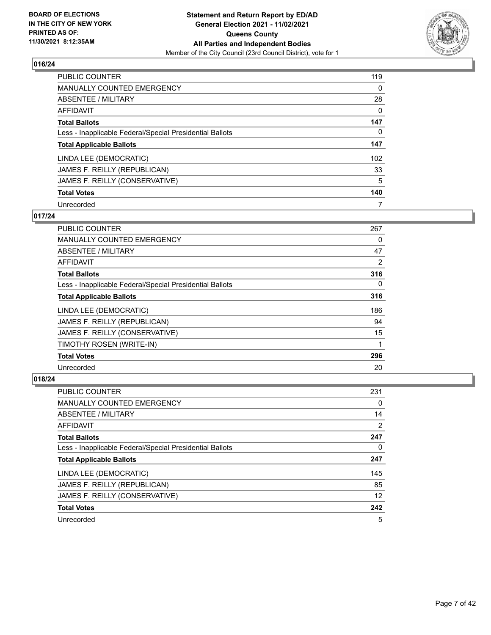

| PUBLIC COUNTER                                           | 119      |
|----------------------------------------------------------|----------|
| MANUALLY COUNTED EMERGENCY                               | 0        |
| ABSENTEE / MILITARY                                      | 28       |
| AFFIDAVIT                                                | $\Omega$ |
| <b>Total Ballots</b>                                     | 147      |
| Less - Inapplicable Federal/Special Presidential Ballots | 0        |
| <b>Total Applicable Ballots</b>                          | 147      |
| LINDA LEE (DEMOCRATIC)                                   | 102      |
| JAMES F. REILLY (REPUBLICAN)                             | 33       |
| JAMES F. REILLY (CONSERVATIVE)                           | 5        |
| <b>Total Votes</b>                                       | 140      |
| Unrecorded                                               | 7        |

#### **017/24**

| <b>PUBLIC COUNTER</b>                                    | 267 |
|----------------------------------------------------------|-----|
| <b>MANUALLY COUNTED EMERGENCY</b>                        | 0   |
| ABSENTEE / MILITARY                                      | 47  |
| AFFIDAVIT                                                | 2   |
| <b>Total Ballots</b>                                     | 316 |
| Less - Inapplicable Federal/Special Presidential Ballots | 0   |
| <b>Total Applicable Ballots</b>                          | 316 |
| LINDA LEE (DEMOCRATIC)                                   | 186 |
| JAMES F. REILLY (REPUBLICAN)                             | 94  |
| JAMES F. REILLY (CONSERVATIVE)                           | 15  |
| TIMOTHY ROSEN (WRITE-IN)                                 | 1   |
| <b>Total Votes</b>                                       | 296 |
| Unrecorded                                               | 20  |

| <b>PUBLIC COUNTER</b>                                    | 231            |
|----------------------------------------------------------|----------------|
| <b>MANUALLY COUNTED EMERGENCY</b>                        | 0              |
| ABSENTEE / MILITARY                                      | 14             |
| AFFIDAVIT                                                | $\overline{2}$ |
| <b>Total Ballots</b>                                     | 247            |
| Less - Inapplicable Federal/Special Presidential Ballots | 0              |
| <b>Total Applicable Ballots</b>                          | 247            |
| LINDA LEE (DEMOCRATIC)                                   | 145            |
| JAMES F. REILLY (REPUBLICAN)                             | 85             |
| JAMES F. REILLY (CONSERVATIVE)                           | 12             |
| <b>Total Votes</b>                                       | 242            |
| Unrecorded                                               | 5              |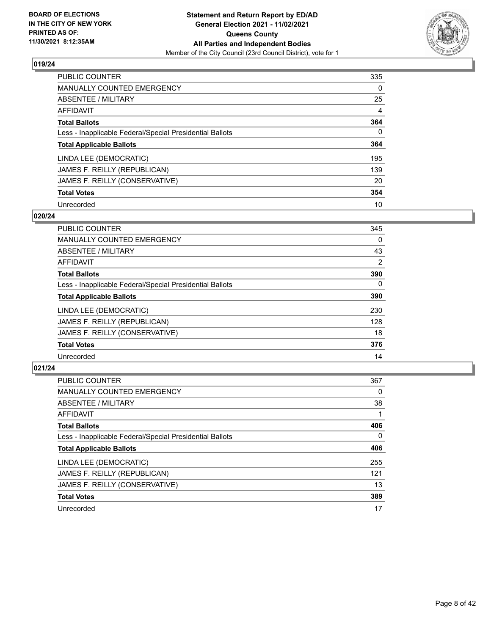

| <b>PUBLIC COUNTER</b>                                    | 335      |
|----------------------------------------------------------|----------|
| MANUALLY COUNTED EMERGENCY                               | $\Omega$ |
| ABSENTEE / MILITARY                                      | 25       |
| AFFIDAVIT                                                | 4        |
| <b>Total Ballots</b>                                     | 364      |
| Less - Inapplicable Federal/Special Presidential Ballots | $\Omega$ |
| <b>Total Applicable Ballots</b>                          | 364      |
| LINDA LEE (DEMOCRATIC)                                   | 195      |
| JAMES F. REILLY (REPUBLICAN)                             | 139      |
| JAMES F. REILLY (CONSERVATIVE)                           | 20       |
| <b>Total Votes</b>                                       | 354      |
| Unrecorded                                               | 10       |

#### **020/24**

| <b>PUBLIC COUNTER</b>                                    | 345      |
|----------------------------------------------------------|----------|
| MANUALLY COUNTED EMERGENCY                               | $\Omega$ |
| ABSENTEE / MILITARY                                      | 43       |
| <b>AFFIDAVIT</b>                                         | 2        |
| <b>Total Ballots</b>                                     | 390      |
| Less - Inapplicable Federal/Special Presidential Ballots | $\Omega$ |
| <b>Total Applicable Ballots</b>                          | 390      |
| LINDA LEE (DEMOCRATIC)                                   | 230      |
| JAMES F. REILLY (REPUBLICAN)                             | 128      |
| JAMES F. REILLY (CONSERVATIVE)                           | 18       |
| <b>Total Votes</b>                                       | 376      |
| Unrecorded                                               | 14       |

| <b>PUBLIC COUNTER</b>                                    | 367      |
|----------------------------------------------------------|----------|
| <b>MANUALLY COUNTED EMERGENCY</b>                        | $\Omega$ |
| ABSENTEE / MILITARY                                      | 38       |
| AFFIDAVIT                                                |          |
| <b>Total Ballots</b>                                     | 406      |
| Less - Inapplicable Federal/Special Presidential Ballots | $\Omega$ |
| <b>Total Applicable Ballots</b>                          | 406      |
| LINDA LEE (DEMOCRATIC)                                   | 255      |
| JAMES F. REILLY (REPUBLICAN)                             | 121      |
| JAMES F. REILLY (CONSERVATIVE)                           | 13       |
| <b>Total Votes</b>                                       | 389      |
| Unrecorded                                               | 17       |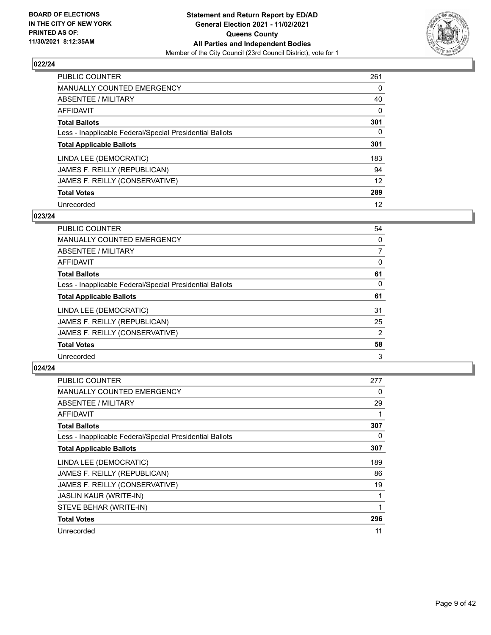

| <b>PUBLIC COUNTER</b>                                    | 261      |
|----------------------------------------------------------|----------|
| <b>MANUALLY COUNTED EMERGENCY</b>                        | $\Omega$ |
| <b>ABSENTEE / MILITARY</b>                               | 40       |
| AFFIDAVIT                                                | $\Omega$ |
| <b>Total Ballots</b>                                     | 301      |
| Less - Inapplicable Federal/Special Presidential Ballots | 0        |
| <b>Total Applicable Ballots</b>                          | 301      |
| LINDA LEE (DEMOCRATIC)                                   | 183      |
| JAMES F. REILLY (REPUBLICAN)                             | 94       |
| JAMES F. REILLY (CONSERVATIVE)                           | 12       |
| <b>Total Votes</b>                                       | 289      |
| Unrecorded                                               | 12       |

#### **023/24**

| <b>PUBLIC COUNTER</b>                                    | 54       |
|----------------------------------------------------------|----------|
| <b>MANUALLY COUNTED EMERGENCY</b>                        | $\Omega$ |
| ABSENTEE / MILITARY                                      | 7        |
| <b>AFFIDAVIT</b>                                         | 0        |
| <b>Total Ballots</b>                                     | 61       |
| Less - Inapplicable Federal/Special Presidential Ballots | 0        |
| <b>Total Applicable Ballots</b>                          | 61       |
| LINDA LEE (DEMOCRATIC)                                   | 31       |
| JAMES F. REILLY (REPUBLICAN)                             | 25       |
| JAMES F. REILLY (CONSERVATIVE)                           | 2        |
| <b>Total Votes</b>                                       | 58       |
| Unrecorded                                               | 3        |

| <b>PUBLIC COUNTER</b>                                    | 277 |
|----------------------------------------------------------|-----|
| <b>MANUALLY COUNTED EMERGENCY</b>                        | 0   |
| ABSENTEE / MILITARY                                      | 29  |
| AFFIDAVIT                                                | 1   |
| <b>Total Ballots</b>                                     | 307 |
| Less - Inapplicable Federal/Special Presidential Ballots | 0   |
| <b>Total Applicable Ballots</b>                          | 307 |
| LINDA LEE (DEMOCRATIC)                                   | 189 |
| JAMES F. REILLY (REPUBLICAN)                             | 86  |
| JAMES F. REILLY (CONSERVATIVE)                           | 19  |
| <b>JASLIN KAUR (WRITE-IN)</b>                            | 1   |
| STEVE BEHAR (WRITE-IN)                                   | 1   |
| <b>Total Votes</b>                                       | 296 |
| Unrecorded                                               | 11  |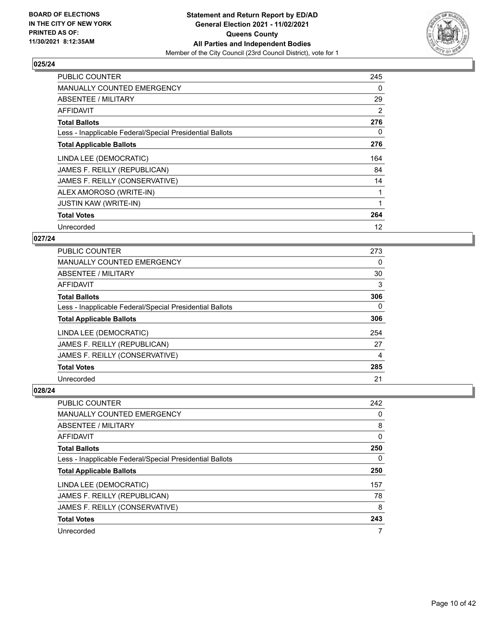

| <b>PUBLIC COUNTER</b>                                    | 245 |
|----------------------------------------------------------|-----|
| MANUALLY COUNTED EMERGENCY                               | 0   |
| ABSENTEE / MILITARY                                      | 29  |
| AFFIDAVIT                                                | 2   |
| <b>Total Ballots</b>                                     | 276 |
| Less - Inapplicable Federal/Special Presidential Ballots | 0   |
| <b>Total Applicable Ballots</b>                          | 276 |
| LINDA LEE (DEMOCRATIC)                                   | 164 |
| JAMES F. REILLY (REPUBLICAN)                             | 84  |
| JAMES F. REILLY (CONSERVATIVE)                           | 14  |
| ALEX AMOROSO (WRITE-IN)                                  |     |
| <b>JUSTIN KAW (WRITE-IN)</b>                             |     |
| <b>Total Votes</b>                                       | 264 |
| Unrecorded                                               | 12  |

# **027/24**

| <b>PUBLIC COUNTER</b>                                    | 273      |
|----------------------------------------------------------|----------|
| <b>MANUALLY COUNTED EMERGENCY</b>                        | 0        |
| ABSENTEE / MILITARY                                      | 30       |
| <b>AFFIDAVIT</b>                                         | 3        |
| <b>Total Ballots</b>                                     | 306      |
| Less - Inapplicable Federal/Special Presidential Ballots | $\Omega$ |
| <b>Total Applicable Ballots</b>                          | 306      |
| LINDA LEE (DEMOCRATIC)                                   | 254      |
| JAMES F. REILLY (REPUBLICAN)                             | 27       |
| JAMES F. REILLY (CONSERVATIVE)                           | 4        |
| <b>Total Votes</b>                                       | 285      |
| Unrecorded                                               | 21       |

| <b>PUBLIC COUNTER</b>                                    | 242 |
|----------------------------------------------------------|-----|
| MANUALLY COUNTED EMERGENCY                               | 0   |
| ABSENTEE / MILITARY                                      | 8   |
| AFFIDAVIT                                                | 0   |
| <b>Total Ballots</b>                                     | 250 |
| Less - Inapplicable Federal/Special Presidential Ballots | 0   |
|                                                          |     |
| <b>Total Applicable Ballots</b>                          | 250 |
| LINDA LEE (DEMOCRATIC)                                   | 157 |
| JAMES F. REILLY (REPUBLICAN)                             | 78  |
| JAMES F. REILLY (CONSERVATIVE)                           | 8   |
| <b>Total Votes</b>                                       | 243 |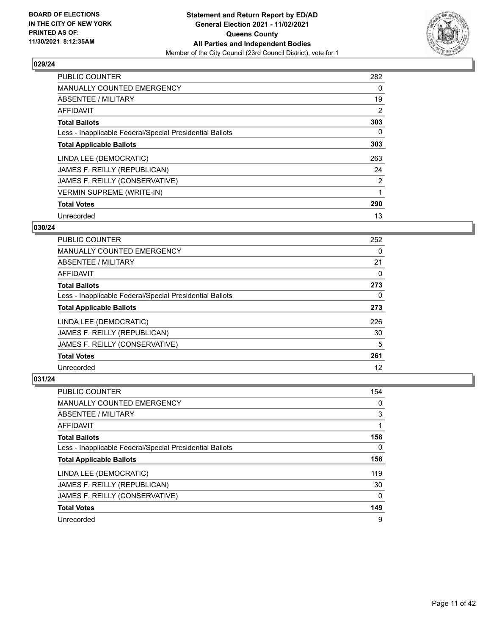

| <b>PUBLIC COUNTER</b>                                    | 282            |
|----------------------------------------------------------|----------------|
| MANUALLY COUNTED EMERGENCY                               | 0              |
| ABSENTEE / MILITARY                                      | 19             |
| <b>AFFIDAVIT</b>                                         | $\overline{2}$ |
| <b>Total Ballots</b>                                     | 303            |
| Less - Inapplicable Federal/Special Presidential Ballots | 0              |
| <b>Total Applicable Ballots</b>                          | 303            |
| LINDA LEE (DEMOCRATIC)                                   | 263            |
| JAMES F. REILLY (REPUBLICAN)                             | 24             |
| JAMES F. REILLY (CONSERVATIVE)                           | 2              |
| <b>VERMIN SUPREME (WRITE-IN)</b>                         | 1              |
| <b>Total Votes</b>                                       | 290            |
| Unrecorded                                               | 13             |

#### **030/24**

| <b>PUBLIC COUNTER</b>                                    | 252 |
|----------------------------------------------------------|-----|
| <b>MANUALLY COUNTED EMERGENCY</b>                        | 0   |
| ABSENTEE / MILITARY                                      | 21  |
| AFFIDAVIT                                                | 0   |
| <b>Total Ballots</b>                                     | 273 |
| Less - Inapplicable Federal/Special Presidential Ballots | 0   |
| <b>Total Applicable Ballots</b>                          | 273 |
| LINDA LEE (DEMOCRATIC)                                   | 226 |
| JAMES F. REILLY (REPUBLICAN)                             | 30  |
| JAMES F. REILLY (CONSERVATIVE)                           | 5   |
| <b>Total Votes</b>                                       | 261 |
| Unrecorded                                               | 12  |

| <b>PUBLIC COUNTER</b>                                    | 154 |
|----------------------------------------------------------|-----|
| <b>MANUALLY COUNTED EMERGENCY</b>                        | 0   |
| ABSENTEE / MILITARY                                      | 3   |
| AFFIDAVIT                                                |     |
| <b>Total Ballots</b>                                     | 158 |
| Less - Inapplicable Federal/Special Presidential Ballots | 0   |
| <b>Total Applicable Ballots</b>                          | 158 |
| LINDA LEE (DEMOCRATIC)                                   | 119 |
| JAMES F. REILLY (REPUBLICAN)                             | 30  |
| JAMES F. REILLY (CONSERVATIVE)                           | 0   |
| <b>Total Votes</b>                                       | 149 |
| Unrecorded                                               | 9   |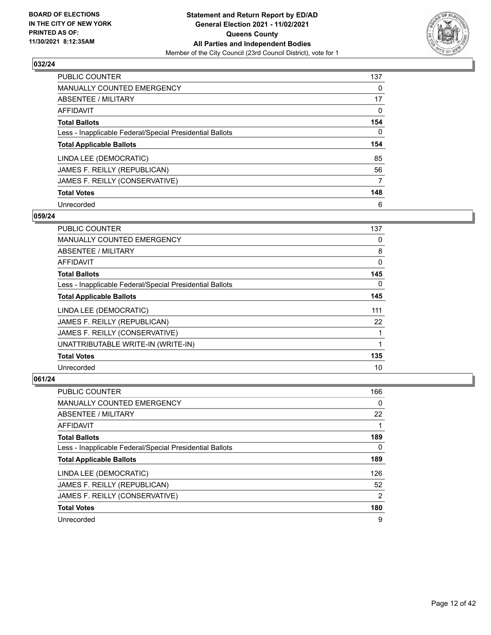

| PUBLIC COUNTER                                           | 137      |
|----------------------------------------------------------|----------|
| MANUALLY COUNTED EMERGENCY                               | $\Omega$ |
| ABSENTEE / MILITARY                                      | 17       |
| AFFIDAVIT                                                | 0        |
| <b>Total Ballots</b>                                     | 154      |
| Less - Inapplicable Federal/Special Presidential Ballots | $\Omega$ |
| <b>Total Applicable Ballots</b>                          | 154      |
| LINDA LEE (DEMOCRATIC)                                   | 85       |
| JAMES F. REILLY (REPUBLICAN)                             | 56       |
| JAMES F. REILLY (CONSERVATIVE)                           | 7        |
| <b>Total Votes</b>                                       | 148      |
| Unrecorded                                               | 6        |

#### **059/24**

| <b>PUBLIC COUNTER</b>                                    | 137      |
|----------------------------------------------------------|----------|
| <b>MANUALLY COUNTED EMERGENCY</b>                        | 0        |
| ABSENTEE / MILITARY                                      | 8        |
| AFFIDAVIT                                                | 0        |
| <b>Total Ballots</b>                                     | 145      |
| Less - Inapplicable Federal/Special Presidential Ballots | $\Omega$ |
| <b>Total Applicable Ballots</b>                          | 145      |
| LINDA LEE (DEMOCRATIC)                                   | 111      |
| JAMES F. REILLY (REPUBLICAN)                             | 22       |
| JAMES F. REILLY (CONSERVATIVE)                           |          |
| UNATTRIBUTABLE WRITE-IN (WRITE-IN)                       |          |
| <b>Total Votes</b>                                       | 135      |
| Unrecorded                                               | 10       |

| <b>PUBLIC COUNTER</b>                                    | 166            |
|----------------------------------------------------------|----------------|
| <b>MANUALLY COUNTED EMERGENCY</b>                        | 0              |
| ABSENTEE / MILITARY                                      | 22             |
| AFFIDAVIT                                                |                |
| <b>Total Ballots</b>                                     | 189            |
| Less - Inapplicable Federal/Special Presidential Ballots | 0              |
| <b>Total Applicable Ballots</b>                          | 189            |
| LINDA LEE (DEMOCRATIC)                                   | 126            |
| JAMES F. REILLY (REPUBLICAN)                             | 52             |
| JAMES F. REILLY (CONSERVATIVE)                           | $\overline{2}$ |
| <b>Total Votes</b>                                       | 180            |
| Unrecorded                                               | 9              |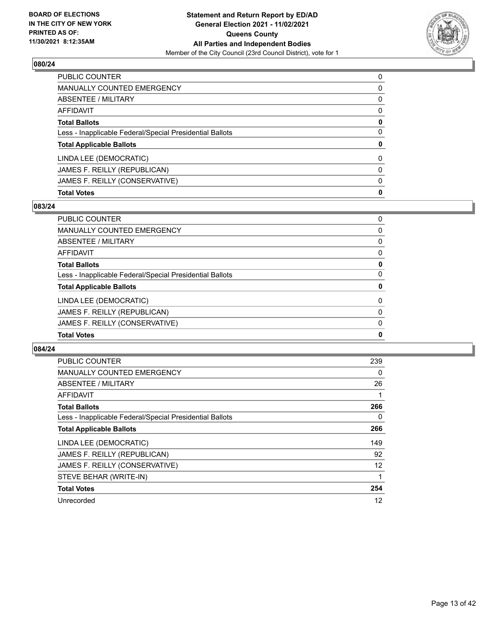

| PUBLIC COUNTER                                           | $\Omega$     |
|----------------------------------------------------------|--------------|
| <b>MANUALLY COUNTED EMERGENCY</b>                        | 0            |
| <b>ABSENTEE / MILITARY</b>                               | $\mathbf{0}$ |
| <b>AFFIDAVIT</b>                                         | $\mathbf{0}$ |
| <b>Total Ballots</b>                                     | 0            |
| Less - Inapplicable Federal/Special Presidential Ballots | $\Omega$     |
| <b>Total Applicable Ballots</b>                          | 0            |
| LINDA LEE (DEMOCRATIC)                                   | $\Omega$     |
| JAMES F. REILLY (REPUBLICAN)                             | $\Omega$     |
| JAMES F. REILLY (CONSERVATIVE)                           | $\mathbf{0}$ |
| <b>Total Votes</b>                                       | 0            |

# **083/24**

| PUBLIC COUNTER                                           | 0        |
|----------------------------------------------------------|----------|
| <b>MANUALLY COUNTED EMERGENCY</b>                        | 0        |
| ABSENTEE / MILITARY                                      | 0        |
| <b>AFFIDAVIT</b>                                         | 0        |
| <b>Total Ballots</b>                                     | 0        |
| Less - Inapplicable Federal/Special Presidential Ballots | $\Omega$ |
| <b>Total Applicable Ballots</b>                          | 0        |
| LINDA LEE (DEMOCRATIC)                                   | $\Omega$ |
| JAMES F. REILLY (REPUBLICAN)                             | 0        |
| JAMES F. REILLY (CONSERVATIVE)                           | $\Omega$ |
| <b>Total Votes</b>                                       | 0        |
|                                                          |          |

| PUBLIC COUNTER                                           | 239 |
|----------------------------------------------------------|-----|
| <b>MANUALLY COUNTED EMERGENCY</b>                        | 0   |
| ABSENTEE / MILITARY                                      | 26  |
| AFFIDAVIT                                                |     |
| <b>Total Ballots</b>                                     | 266 |
| Less - Inapplicable Federal/Special Presidential Ballots | 0   |
| <b>Total Applicable Ballots</b>                          | 266 |
| LINDA LEE (DEMOCRATIC)                                   | 149 |
| JAMES F. REILLY (REPUBLICAN)                             | 92  |
| JAMES F. REILLY (CONSERVATIVE)                           | 12  |
| STEVE BEHAR (WRITE-IN)                                   |     |
| <b>Total Votes</b>                                       | 254 |
| Unrecorded                                               | 12  |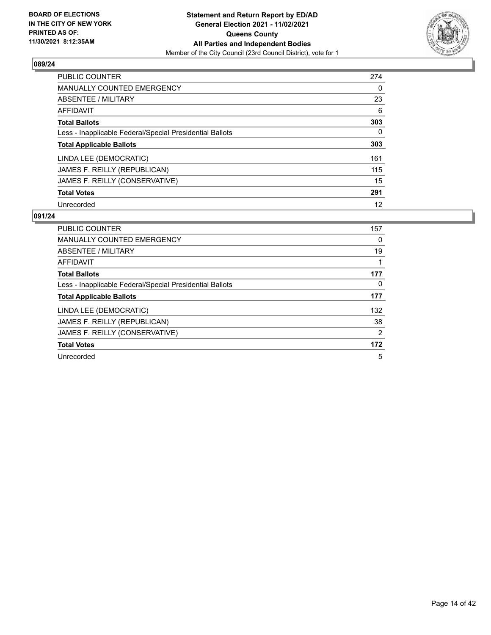

| <b>PUBLIC COUNTER</b>                                    | 274 |
|----------------------------------------------------------|-----|
| <b>MANUALLY COUNTED EMERGENCY</b>                        | 0   |
| ABSENTEE / MILITARY                                      | 23  |
| AFFIDAVIT                                                | 6   |
| <b>Total Ballots</b>                                     | 303 |
| Less - Inapplicable Federal/Special Presidential Ballots | 0   |
| <b>Total Applicable Ballots</b>                          | 303 |
| LINDA LEE (DEMOCRATIC)                                   | 161 |
| JAMES F. REILLY (REPUBLICAN)                             | 115 |
| JAMES F. REILLY (CONSERVATIVE)                           | 15  |
| <b>Total Votes</b>                                       | 291 |
| Unrecorded                                               | 12  |

| <b>PUBLIC COUNTER</b>                                    | 157 |
|----------------------------------------------------------|-----|
| <b>MANUALLY COUNTED EMERGENCY</b>                        | 0   |
| ABSENTEE / MILITARY                                      | 19  |
| AFFIDAVIT                                                |     |
| <b>Total Ballots</b>                                     | 177 |
| Less - Inapplicable Federal/Special Presidential Ballots | 0   |
| <b>Total Applicable Ballots</b>                          | 177 |
| LINDA LEE (DEMOCRATIC)                                   | 132 |
| JAMES F. REILLY (REPUBLICAN)                             | 38  |
| JAMES F. REILLY (CONSERVATIVE)                           | 2   |
| <b>Total Votes</b>                                       | 172 |
| Unrecorded                                               | 5   |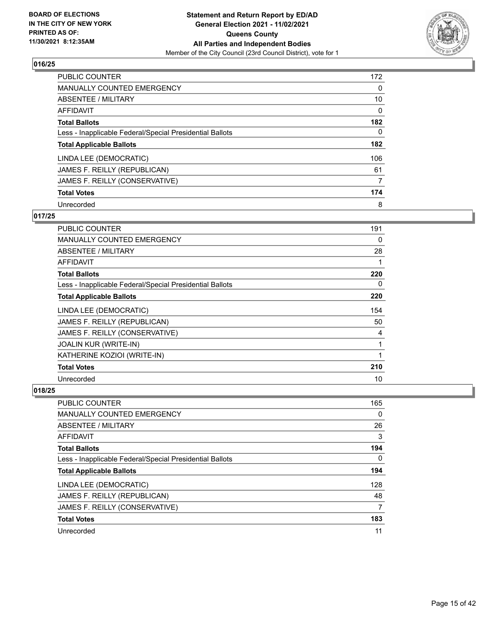

| PUBLIC COUNTER                                           | 172      |
|----------------------------------------------------------|----------|
| MANUALLY COUNTED EMERGENCY                               | $\Omega$ |
| ABSENTEE / MILITARY                                      | 10       |
| AFFIDAVIT                                                | $\Omega$ |
| <b>Total Ballots</b>                                     | 182      |
| Less - Inapplicable Federal/Special Presidential Ballots | 0        |
| <b>Total Applicable Ballots</b>                          | 182      |
| LINDA LEE (DEMOCRATIC)                                   | 106      |
| JAMES F. REILLY (REPUBLICAN)                             | 61       |
| JAMES F. REILLY (CONSERVATIVE)                           | 7        |
| <b>Total Votes</b>                                       | 174      |
| Unrecorded                                               | 8        |

# **017/25**

| <b>PUBLIC COUNTER</b>                                    | 191          |
|----------------------------------------------------------|--------------|
| <b>MANUALLY COUNTED EMERGENCY</b>                        | 0            |
| ABSENTEE / MILITARY                                      | 28           |
| <b>AFFIDAVIT</b>                                         | 1            |
| <b>Total Ballots</b>                                     | 220          |
| Less - Inapplicable Federal/Special Presidential Ballots | 0            |
| <b>Total Applicable Ballots</b>                          | 220          |
| LINDA LEE (DEMOCRATIC)                                   | 154          |
| JAMES F. REILLY (REPUBLICAN)                             | 50           |
| JAMES F. REILLY (CONSERVATIVE)                           | 4            |
| <b>JOALIN KUR (WRITE-IN)</b>                             | 1            |
| KATHERINE KOZIOI (WRITE-IN)                              | $\mathbf{1}$ |
| <b>Total Votes</b>                                       | 210          |
| Unrecorded                                               | 10           |

| <b>PUBLIC COUNTER</b>                                    | 165 |
|----------------------------------------------------------|-----|
| <b>MANUALLY COUNTED EMERGENCY</b>                        | 0   |
| ABSENTEE / MILITARY                                      | 26  |
| AFFIDAVIT                                                | 3   |
| <b>Total Ballots</b>                                     | 194 |
| Less - Inapplicable Federal/Special Presidential Ballots | 0   |
| <b>Total Applicable Ballots</b>                          | 194 |
| LINDA LEE (DEMOCRATIC)                                   | 128 |
| JAMES F. REILLY (REPUBLICAN)                             | 48  |
| JAMES F. REILLY (CONSERVATIVE)                           |     |
| <b>Total Votes</b>                                       | 183 |
| Unrecorded                                               | 11  |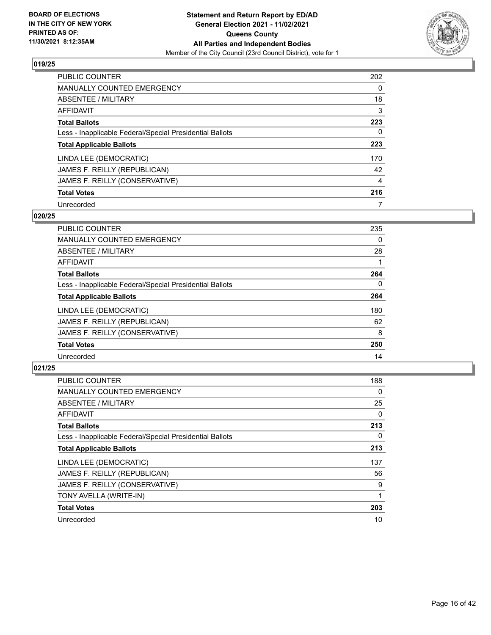

| <b>PUBLIC COUNTER</b>                                    | 202      |
|----------------------------------------------------------|----------|
| <b>MANUALLY COUNTED EMERGENCY</b>                        | $\Omega$ |
| ABSENTEE / MILITARY                                      | 18       |
| AFFIDAVIT                                                | 3        |
| <b>Total Ballots</b>                                     | 223      |
| Less - Inapplicable Federal/Special Presidential Ballots | 0        |
| <b>Total Applicable Ballots</b>                          | 223      |
| LINDA LEE (DEMOCRATIC)                                   | 170      |
| JAMES F. REILLY (REPUBLICAN)                             | 42       |
| JAMES F. REILLY (CONSERVATIVE)                           | 4        |
| <b>Total Votes</b>                                       | 216      |
| Unrecorded                                               |          |

#### **020/25**

| PUBLIC COUNTER                                           | 235      |
|----------------------------------------------------------|----------|
| <b>MANUALLY COUNTED EMERGENCY</b>                        | 0        |
| ABSENTEE / MILITARY                                      | 28       |
| <b>AFFIDAVIT</b>                                         |          |
| <b>Total Ballots</b>                                     | 264      |
| Less - Inapplicable Federal/Special Presidential Ballots | $\Omega$ |
| <b>Total Applicable Ballots</b>                          | 264      |
| LINDA LEE (DEMOCRATIC)                                   | 180      |
| JAMES F. REILLY (REPUBLICAN)                             | 62       |
| JAMES F. REILLY (CONSERVATIVE)                           | 8        |
| <b>Total Votes</b>                                       | 250      |
| Unrecorded                                               | 14       |

| <b>PUBLIC COUNTER</b>                                    | 188 |
|----------------------------------------------------------|-----|
| MANUALLY COUNTED EMERGENCY                               | 0   |
| ABSENTEE / MILITARY                                      | 25  |
| AFFIDAVIT                                                | 0   |
| <b>Total Ballots</b>                                     | 213 |
| Less - Inapplicable Federal/Special Presidential Ballots | 0   |
| <b>Total Applicable Ballots</b>                          | 213 |
| LINDA LEE (DEMOCRATIC)                                   | 137 |
| JAMES F. REILLY (REPUBLICAN)                             | 56  |
| JAMES F. REILLY (CONSERVATIVE)                           | 9   |
| TONY AVELLA (WRITE-IN)                                   |     |
| <b>Total Votes</b>                                       | 203 |
| Unrecorded                                               | 10  |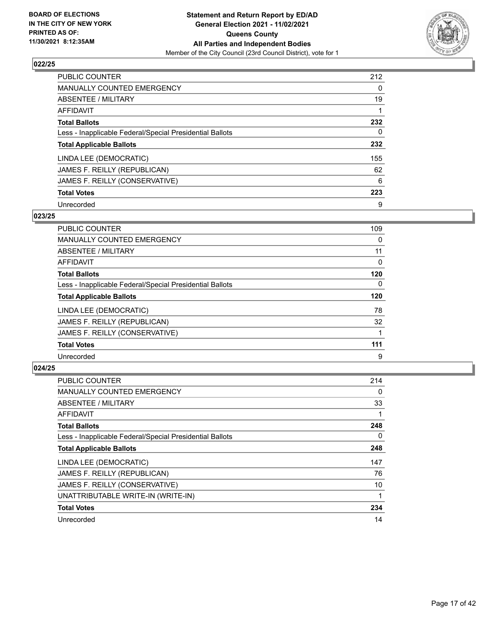

| PUBLIC COUNTER                                           | 212      |
|----------------------------------------------------------|----------|
| MANUALLY COUNTED EMERGENCY                               | $\Omega$ |
| ABSENTEE / MILITARY                                      | 19       |
| AFFIDAVIT                                                |          |
| <b>Total Ballots</b>                                     | 232      |
| Less - Inapplicable Federal/Special Presidential Ballots | 0        |
| <b>Total Applicable Ballots</b>                          | 232      |
| LINDA LEE (DEMOCRATIC)                                   | 155      |
| JAMES F. REILLY (REPUBLICAN)                             | 62       |
| JAMES F. REILLY (CONSERVATIVE)                           | 6        |
| <b>Total Votes</b>                                       | 223      |
| Unrecorded                                               | 9        |

#### **023/25**

| <b>PUBLIC COUNTER</b>                                    | 109      |
|----------------------------------------------------------|----------|
| MANUALLY COUNTED EMERGENCY                               | 0        |
| ABSENTEE / MILITARY                                      | 11       |
| <b>AFFIDAVIT</b>                                         | $\Omega$ |
| <b>Total Ballots</b>                                     | 120      |
| Less - Inapplicable Federal/Special Presidential Ballots | $\Omega$ |
| <b>Total Applicable Ballots</b>                          | 120      |
| LINDA LEE (DEMOCRATIC)                                   | 78       |
| JAMES F. REILLY (REPUBLICAN)                             | 32       |
| JAMES F. REILLY (CONSERVATIVE)                           |          |
| <b>Total Votes</b>                                       | 111      |
| Unrecorded                                               | 9        |

| <b>PUBLIC COUNTER</b>                                    | 214 |
|----------------------------------------------------------|-----|
| <b>MANUALLY COUNTED EMERGENCY</b>                        | 0   |
| ABSENTEE / MILITARY                                      | 33  |
| AFFIDAVIT                                                |     |
| <b>Total Ballots</b>                                     | 248 |
| Less - Inapplicable Federal/Special Presidential Ballots | 0   |
| <b>Total Applicable Ballots</b>                          | 248 |
| LINDA LEE (DEMOCRATIC)                                   | 147 |
| JAMES F. REILLY (REPUBLICAN)                             | 76  |
| JAMES F. REILLY (CONSERVATIVE)                           | 10  |
| UNATTRIBUTABLE WRITE-IN (WRITE-IN)                       |     |
| <b>Total Votes</b>                                       | 234 |
| Unrecorded                                               | 14  |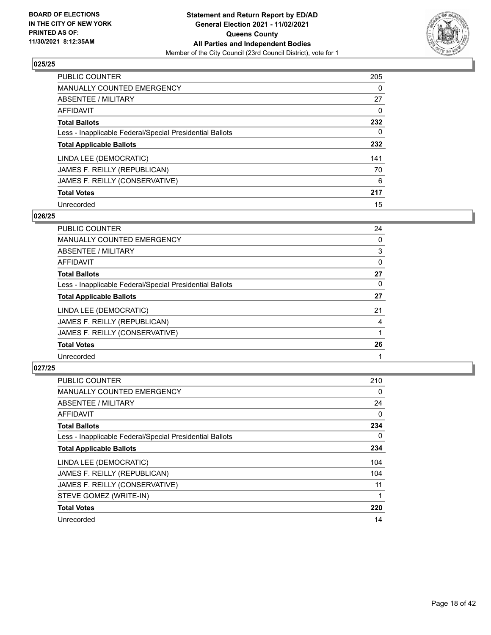

| PUBLIC COUNTER                                           | 205      |
|----------------------------------------------------------|----------|
| <b>MANUALLY COUNTED EMERGENCY</b>                        | $\Omega$ |
| ABSENTEE / MILITARY                                      | 27       |
| AFFIDAVIT                                                | $\Omega$ |
| <b>Total Ballots</b>                                     | 232      |
| Less - Inapplicable Federal/Special Presidential Ballots | 0        |
| <b>Total Applicable Ballots</b>                          | 232      |
| LINDA LEE (DEMOCRATIC)                                   | 141      |
| JAMES F. REILLY (REPUBLICAN)                             | 70       |
| JAMES F. REILLY (CONSERVATIVE)                           | 6        |
| <b>Total Votes</b>                                       | 217      |
| Unrecorded                                               | 15       |

#### **026/25**

| <b>PUBLIC COUNTER</b>                                    | 24       |
|----------------------------------------------------------|----------|
| <b>MANUALLY COUNTED EMERGENCY</b>                        | 0        |
| ABSENTEE / MILITARY                                      | 3        |
| AFFIDAVIT                                                | $\Omega$ |
| <b>Total Ballots</b>                                     | 27       |
| Less - Inapplicable Federal/Special Presidential Ballots | 0        |
| <b>Total Applicable Ballots</b>                          | 27       |
| LINDA LEE (DEMOCRATIC)                                   | 21       |
| JAMES F. REILLY (REPUBLICAN)                             | 4        |
| JAMES F. REILLY (CONSERVATIVE)                           |          |
| <b>Total Votes</b>                                       | 26       |
| Unrecorded                                               |          |

| <b>PUBLIC COUNTER</b>                                    | 210 |
|----------------------------------------------------------|-----|
| <b>MANUALLY COUNTED EMERGENCY</b>                        | 0   |
| ABSENTEE / MILITARY                                      | 24  |
| AFFIDAVIT                                                | 0   |
| <b>Total Ballots</b>                                     | 234 |
| Less - Inapplicable Federal/Special Presidential Ballots | 0   |
| <b>Total Applicable Ballots</b>                          | 234 |
| LINDA LEE (DEMOCRATIC)                                   | 104 |
| JAMES F. REILLY (REPUBLICAN)                             | 104 |
| JAMES F. REILLY (CONSERVATIVE)                           | 11  |
| STEVE GOMEZ (WRITE-IN)                                   |     |
| <b>Total Votes</b>                                       | 220 |
| Unrecorded                                               | 14  |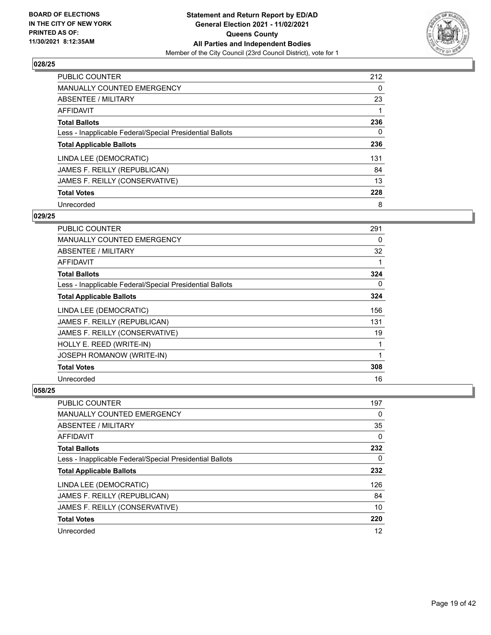

| PUBLIC COUNTER                                           | 212      |
|----------------------------------------------------------|----------|
| <b>MANUALLY COUNTED EMERGENCY</b>                        | $\Omega$ |
| ABSENTEE / MILITARY                                      | 23       |
| AFFIDAVIT                                                |          |
| <b>Total Ballots</b>                                     | 236      |
| Less - Inapplicable Federal/Special Presidential Ballots | 0        |
| <b>Total Applicable Ballots</b>                          | 236      |
| LINDA LEE (DEMOCRATIC)                                   | 131      |
| JAMES F. REILLY (REPUBLICAN)                             | 84       |
| JAMES F. REILLY (CONSERVATIVE)                           | 13       |
| <b>Total Votes</b>                                       | 228      |
| Unrecorded                                               | 8        |

#### **029/25**

| <b>PUBLIC COUNTER</b>                                    | 291 |
|----------------------------------------------------------|-----|
| MANUALLY COUNTED EMERGENCY                               | 0   |
| ABSENTEE / MILITARY                                      | 32  |
| AFFIDAVIT                                                | 1   |
| <b>Total Ballots</b>                                     | 324 |
| Less - Inapplicable Federal/Special Presidential Ballots | 0   |
| <b>Total Applicable Ballots</b>                          | 324 |
| LINDA LEE (DEMOCRATIC)                                   | 156 |
| JAMES F. REILLY (REPUBLICAN)                             | 131 |
| JAMES F. REILLY (CONSERVATIVE)                           | 19  |
| HOLLY E. REED (WRITE-IN)                                 | 1   |
| <b>JOSEPH ROMANOW (WRITE-IN)</b>                         | 1   |
| <b>Total Votes</b>                                       | 308 |
| Unrecorded                                               | 16  |

| <b>PUBLIC COUNTER</b>                                    | 197 |
|----------------------------------------------------------|-----|
| <b>MANUALLY COUNTED EMERGENCY</b>                        | 0   |
| ABSENTEE / MILITARY                                      | 35  |
| AFFIDAVIT                                                | 0   |
| <b>Total Ballots</b>                                     | 232 |
| Less - Inapplicable Federal/Special Presidential Ballots | 0   |
| <b>Total Applicable Ballots</b>                          | 232 |
| LINDA LEE (DEMOCRATIC)                                   | 126 |
| JAMES F. REILLY (REPUBLICAN)                             | 84  |
| JAMES F. REILLY (CONSERVATIVE)                           | 10  |
| <b>Total Votes</b>                                       | 220 |
| Unrecorded                                               | 12  |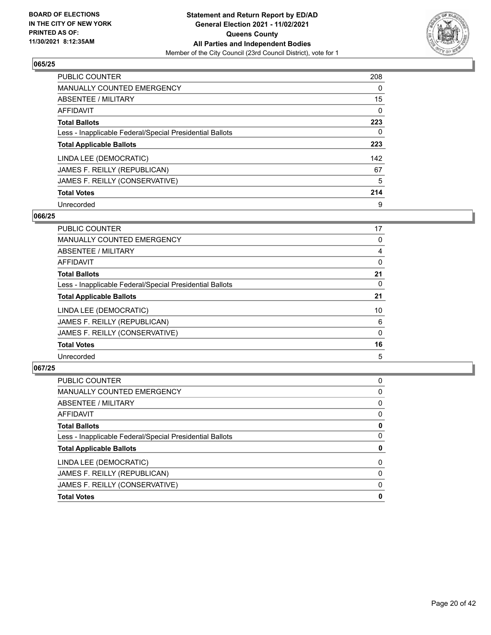

| <b>PUBLIC COUNTER</b>                                    | 208      |
|----------------------------------------------------------|----------|
| <b>MANUALLY COUNTED EMERGENCY</b>                        | $\Omega$ |
| ABSENTEE / MILITARY                                      | 15       |
| AFFIDAVIT                                                | 0        |
| <b>Total Ballots</b>                                     | 223      |
| Less - Inapplicable Federal/Special Presidential Ballots | 0        |
| <b>Total Applicable Ballots</b>                          | 223      |
| LINDA LEE (DEMOCRATIC)                                   | 142      |
| JAMES F. REILLY (REPUBLICAN)                             | 67       |
| JAMES F. REILLY (CONSERVATIVE)                           | 5        |
| <b>Total Votes</b>                                       | 214      |
| Unrecorded                                               | 9        |

#### **066/25**

| <b>PUBLIC COUNTER</b>                                    | 17       |
|----------------------------------------------------------|----------|
| <b>MANUALLY COUNTED EMERGENCY</b>                        | 0        |
| ABSENTEE / MILITARY                                      | 4        |
| AFFIDAVIT                                                | 0        |
| <b>Total Ballots</b>                                     | 21       |
| Less - Inapplicable Federal/Special Presidential Ballots | $\Omega$ |
| <b>Total Applicable Ballots</b>                          | 21       |
| LINDA LEE (DEMOCRATIC)                                   | 10       |
| JAMES F. REILLY (REPUBLICAN)                             | 6        |
| JAMES F. REILLY (CONSERVATIVE)                           | 0        |
| <b>Total Votes</b>                                       | 16       |
| Unrecorded                                               | 5        |

| 0        |
|----------|
| 0        |
| 0        |
| $\Omega$ |
| 0        |
| 0        |
| 0        |
| $\Omega$ |
| $\Omega$ |
| $\Omega$ |
| 0        |
|          |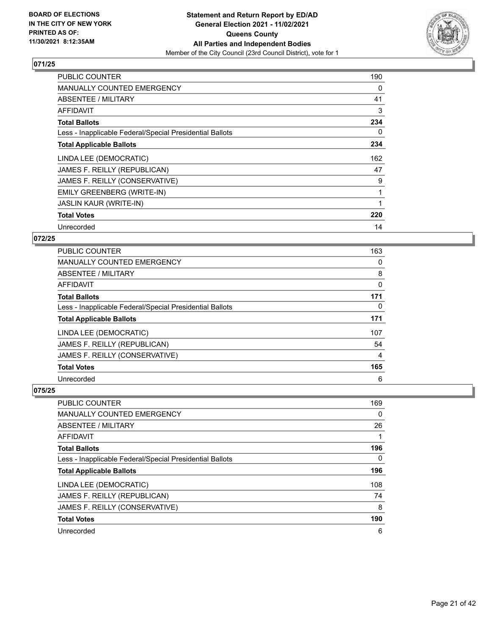

| <b>PUBLIC COUNTER</b>                                    | 190 |
|----------------------------------------------------------|-----|
| <b>MANUALLY COUNTED EMERGENCY</b>                        | 0   |
| ABSENTEE / MILITARY                                      | 41  |
| AFFIDAVIT                                                | 3   |
| <b>Total Ballots</b>                                     | 234 |
| Less - Inapplicable Federal/Special Presidential Ballots | 0   |
| <b>Total Applicable Ballots</b>                          | 234 |
| LINDA LEE (DEMOCRATIC)                                   | 162 |
| JAMES F. REILLY (REPUBLICAN)                             | 47  |
| JAMES F. REILLY (CONSERVATIVE)                           | 9   |
| <b>EMILY GREENBERG (WRITE-IN)</b>                        | 1   |
| <b>JASLIN KAUR (WRITE-IN)</b>                            |     |
| <b>Total Votes</b>                                       | 220 |
| Unrecorded                                               | 14  |

# **072/25**

| <b>PUBLIC COUNTER</b>                                    | 163 |
|----------------------------------------------------------|-----|
| <b>MANUALLY COUNTED EMERGENCY</b>                        | 0   |
| ABSENTEE / MILITARY                                      | 8   |
| AFFIDAVIT                                                | 0   |
| <b>Total Ballots</b>                                     | 171 |
| Less - Inapplicable Federal/Special Presidential Ballots | 0   |
| <b>Total Applicable Ballots</b>                          | 171 |
| LINDA LEE (DEMOCRATIC)                                   | 107 |
| JAMES F. REILLY (REPUBLICAN)                             | 54  |
| JAMES F. REILLY (CONSERVATIVE)                           | 4   |
| <b>Total Votes</b>                                       | 165 |
| Unrecorded                                               | 6   |

| PUBLIC COUNTER                                           | 169 |
|----------------------------------------------------------|-----|
| MANUALLY COUNTED EMERGENCY                               | 0   |
| ABSENTEE / MILITARY                                      | 26  |
| AFFIDAVIT                                                |     |
| <b>Total Ballots</b>                                     | 196 |
| Less - Inapplicable Federal/Special Presidential Ballots | 0   |
| <b>Total Applicable Ballots</b>                          | 196 |
| LINDA LEE (DEMOCRATIC)                                   | 108 |
| JAMES F. REILLY (REPUBLICAN)                             | 74  |
| JAMES F. REILLY (CONSERVATIVE)                           | 8   |
| <b>Total Votes</b>                                       | 190 |
| Unrecorded                                               | 6   |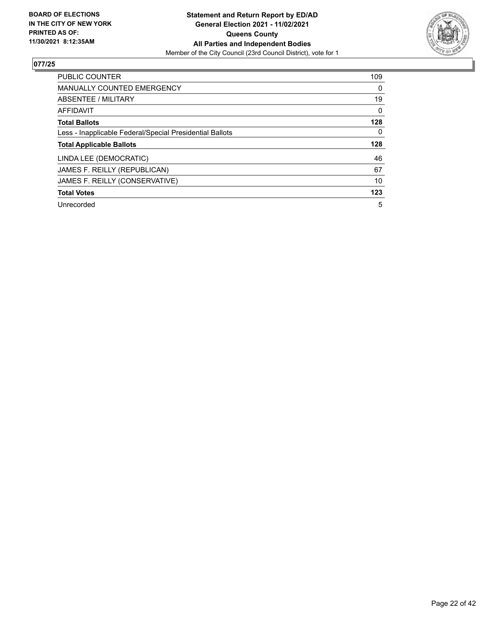

| <b>PUBLIC COUNTER</b>                                    | 109      |
|----------------------------------------------------------|----------|
| <b>MANUALLY COUNTED EMERGENCY</b>                        | $\Omega$ |
| ABSENTEE / MILITARY                                      | 19       |
| <b>AFFIDAVIT</b>                                         | $\Omega$ |
| <b>Total Ballots</b>                                     | 128      |
| Less - Inapplicable Federal/Special Presidential Ballots | 0        |
| <b>Total Applicable Ballots</b>                          | 128      |
| LINDA LEE (DEMOCRATIC)                                   | 46       |
| JAMES F. REILLY (REPUBLICAN)                             | 67       |
| JAMES F. REILLY (CONSERVATIVE)                           | 10       |
|                                                          |          |
| <b>Total Votes</b>                                       | 123      |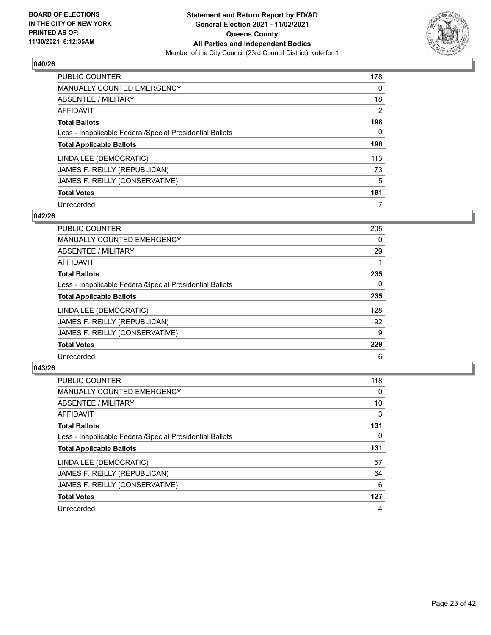

| <b>PUBLIC COUNTER</b>                                    | 178            |
|----------------------------------------------------------|----------------|
| <b>MANUALLY COUNTED EMERGENCY</b>                        | $\Omega$       |
| ABSENTEE / MILITARY                                      | 18             |
| AFFIDAVIT                                                | $\overline{2}$ |
| <b>Total Ballots</b>                                     | 198            |
| Less - Inapplicable Federal/Special Presidential Ballots | 0              |
| <b>Total Applicable Ballots</b>                          | 198            |
| LINDA LEE (DEMOCRATIC)                                   | 113            |
| JAMES F. REILLY (REPUBLICAN)                             | 73             |
| JAMES F. REILLY (CONSERVATIVE)                           | 5              |
| <b>Total Votes</b>                                       | 191            |
| Unrecorded                                               | 7              |

#### **042/26**

| <b>PUBLIC COUNTER</b>                                    | 205      |
|----------------------------------------------------------|----------|
| <b>MANUALLY COUNTED EMERGENCY</b>                        | 0        |
| ABSENTEE / MILITARY                                      | 29       |
| <b>AFFIDAVIT</b>                                         |          |
| <b>Total Ballots</b>                                     | 235      |
| Less - Inapplicable Federal/Special Presidential Ballots | $\Omega$ |
| <b>Total Applicable Ballots</b>                          | 235      |
| LINDA LEE (DEMOCRATIC)                                   | 128      |
| JAMES F. REILLY (REPUBLICAN)                             | 92       |
| JAMES F. REILLY (CONSERVATIVE)                           | 9        |
| <b>Total Votes</b>                                       | 229      |
| Unrecorded                                               | 6        |

| <b>PUBLIC COUNTER</b>                                    | 118 |
|----------------------------------------------------------|-----|
| <b>MANUALLY COUNTED EMERGENCY</b>                        | 0   |
| ABSENTEE / MILITARY                                      | 10  |
| <b>AFFIDAVIT</b>                                         | 3   |
| <b>Total Ballots</b>                                     | 131 |
| Less - Inapplicable Federal/Special Presidential Ballots | 0   |
| <b>Total Applicable Ballots</b>                          | 131 |
| LINDA LEE (DEMOCRATIC)                                   | 57  |
| JAMES F. REILLY (REPUBLICAN)                             | 64  |
| JAMES F. REILLY (CONSERVATIVE)                           | 6   |
| <b>Total Votes</b>                                       | 127 |
| Unrecorded                                               | 4   |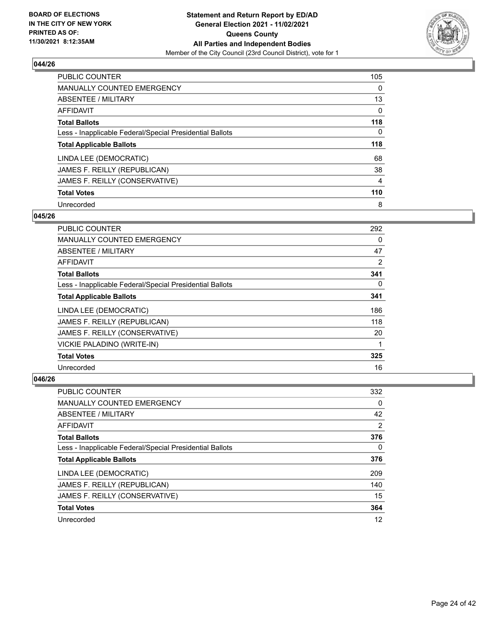

| <b>PUBLIC COUNTER</b>                                    | 105      |
|----------------------------------------------------------|----------|
| <b>MANUALLY COUNTED EMERGENCY</b>                        | $\Omega$ |
| ABSENTEE / MILITARY                                      | 13       |
| AFFIDAVIT                                                | 0        |
| <b>Total Ballots</b>                                     | 118      |
| Less - Inapplicable Federal/Special Presidential Ballots | 0        |
| <b>Total Applicable Ballots</b>                          | 118      |
| LINDA LEE (DEMOCRATIC)                                   | 68       |
| JAMES F. REILLY (REPUBLICAN)                             | 38       |
| JAMES F. REILLY (CONSERVATIVE)                           | 4        |
| <b>Total Votes</b>                                       | 110      |
| Unrecorded                                               | 8        |

#### **045/26**

| <b>PUBLIC COUNTER</b>                                    | 292 |
|----------------------------------------------------------|-----|
| <b>MANUALLY COUNTED EMERGENCY</b>                        | 0   |
| ABSENTEE / MILITARY                                      | 47  |
| AFFIDAVIT                                                | 2   |
| <b>Total Ballots</b>                                     | 341 |
| Less - Inapplicable Federal/Special Presidential Ballots | 0   |
| <b>Total Applicable Ballots</b>                          | 341 |
| LINDA LEE (DEMOCRATIC)                                   | 186 |
| JAMES F. REILLY (REPUBLICAN)                             | 118 |
| JAMES F. REILLY (CONSERVATIVE)                           | 20  |
| VICKIE PALADINO (WRITE-IN)                               |     |
| <b>Total Votes</b>                                       | 325 |
| Unrecorded                                               | 16  |

| <b>PUBLIC COUNTER</b>                                    | 332 |
|----------------------------------------------------------|-----|
| <b>MANUALLY COUNTED EMERGENCY</b>                        | 0   |
| ABSENTEE / MILITARY                                      | 42  |
| AFFIDAVIT                                                | 2   |
| <b>Total Ballots</b>                                     | 376 |
| Less - Inapplicable Federal/Special Presidential Ballots | 0   |
| <b>Total Applicable Ballots</b>                          | 376 |
| LINDA LEE (DEMOCRATIC)                                   | 209 |
| JAMES F. REILLY (REPUBLICAN)                             | 140 |
| JAMES F. REILLY (CONSERVATIVE)                           | 15  |
| <b>Total Votes</b>                                       | 364 |
| Unrecorded                                               | 12  |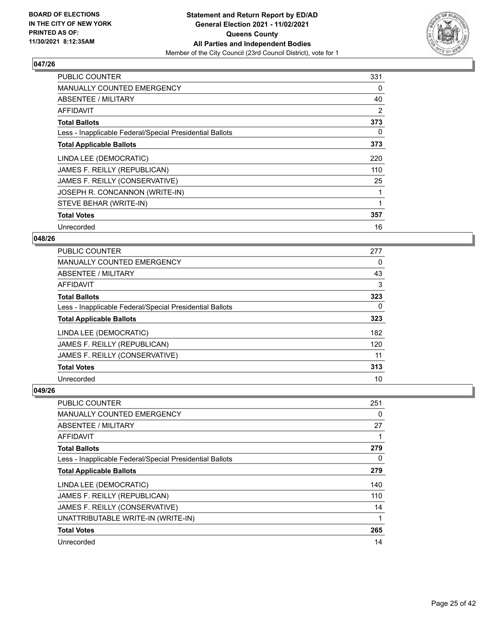

| <b>PUBLIC COUNTER</b>                                    | 331 |
|----------------------------------------------------------|-----|
| <b>MANUALLY COUNTED EMERGENCY</b>                        | 0   |
| ABSENTEE / MILITARY                                      | 40  |
| AFFIDAVIT                                                | 2   |
| <b>Total Ballots</b>                                     | 373 |
| Less - Inapplicable Federal/Special Presidential Ballots | 0   |
| <b>Total Applicable Ballots</b>                          | 373 |
| LINDA LEE (DEMOCRATIC)                                   | 220 |
| JAMES F. REILLY (REPUBLICAN)                             | 110 |
| JAMES F. REILLY (CONSERVATIVE)                           | 25  |
| JOSEPH R. CONCANNON (WRITE-IN)                           |     |
| STEVE BEHAR (WRITE-IN)                                   | 1   |
| <b>Total Votes</b>                                       | 357 |
| Unrecorded                                               | 16  |

# **048/26**

| PUBLIC COUNTER                                           | 277      |
|----------------------------------------------------------|----------|
| <b>MANUALLY COUNTED EMERGENCY</b>                        | 0        |
| ABSENTEE / MILITARY                                      | 43       |
| <b>AFFIDAVIT</b>                                         | 3        |
| <b>Total Ballots</b>                                     | 323      |
| Less - Inapplicable Federal/Special Presidential Ballots | $\Omega$ |
| <b>Total Applicable Ballots</b>                          | 323      |
| LINDA LEE (DEMOCRATIC)                                   | 182      |
| JAMES F. REILLY (REPUBLICAN)                             | 120      |
| JAMES F. REILLY (CONSERVATIVE)                           | 11       |
| <b>Total Votes</b>                                       | 313      |
| Unrecorded                                               | 10       |

| <b>PUBLIC COUNTER</b>                                    | 251 |
|----------------------------------------------------------|-----|
| MANUALLY COUNTED EMERGENCY                               | 0   |
| ABSENTEE / MILITARY                                      | 27  |
| AFFIDAVIT                                                |     |
| <b>Total Ballots</b>                                     | 279 |
| Less - Inapplicable Federal/Special Presidential Ballots | 0   |
| <b>Total Applicable Ballots</b>                          | 279 |
| LINDA LEE (DEMOCRATIC)                                   | 140 |
| JAMES F. REILLY (REPUBLICAN)                             | 110 |
| JAMES F. REILLY (CONSERVATIVE)                           | 14  |
| UNATTRIBUTABLE WRITE-IN (WRITE-IN)                       | 1   |
| <b>Total Votes</b>                                       | 265 |
| Unrecorded                                               | 14  |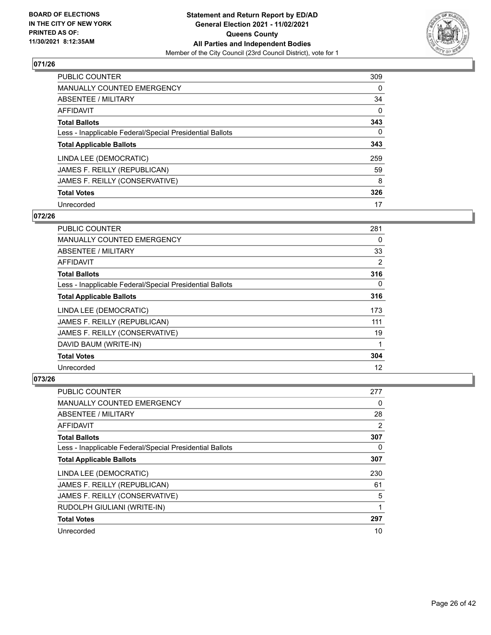

| PUBLIC COUNTER                                           | 309      |
|----------------------------------------------------------|----------|
| <b>MANUALLY COUNTED EMERGENCY</b>                        | $\Omega$ |
| ABSENTEE / MILITARY                                      | 34       |
| AFFIDAVIT                                                | $\Omega$ |
| <b>Total Ballots</b>                                     | 343      |
| Less - Inapplicable Federal/Special Presidential Ballots | 0        |
| <b>Total Applicable Ballots</b>                          | 343      |
| LINDA LEE (DEMOCRATIC)                                   | 259      |
| JAMES F. REILLY (REPUBLICAN)                             | 59       |
| JAMES F. REILLY (CONSERVATIVE)                           | 8        |
| <b>Total Votes</b>                                       | 326      |
| Unrecorded                                               | 17       |

#### **072/26**

| <b>PUBLIC COUNTER</b>                                    | 281      |
|----------------------------------------------------------|----------|
| <b>MANUALLY COUNTED EMERGENCY</b>                        | 0        |
| ABSENTEE / MILITARY                                      | 33       |
| AFFIDAVIT                                                | 2        |
| <b>Total Ballots</b>                                     | 316      |
| Less - Inapplicable Federal/Special Presidential Ballots | $\Omega$ |
| <b>Total Applicable Ballots</b>                          | 316      |
| LINDA LEE (DEMOCRATIC)                                   | 173      |
| JAMES F. REILLY (REPUBLICAN)                             | 111      |
| JAMES F. REILLY (CONSERVATIVE)                           | 19       |
| DAVID BAUM (WRITE-IN)                                    | 1        |
| <b>Total Votes</b>                                       | 304      |
| Unrecorded                                               | 12       |

| <b>PUBLIC COUNTER</b>                                    | 277 |
|----------------------------------------------------------|-----|
| <b>MANUALLY COUNTED EMERGENCY</b>                        | 0   |
| <b>ABSENTEE / MILITARY</b>                               | 28  |
| AFFIDAVIT                                                | 2   |
| <b>Total Ballots</b>                                     | 307 |
| Less - Inapplicable Federal/Special Presidential Ballots | 0   |
| <b>Total Applicable Ballots</b>                          | 307 |
| LINDA LEE (DEMOCRATIC)                                   | 230 |
| JAMES F. REILLY (REPUBLICAN)                             | 61  |
| JAMES F. REILLY (CONSERVATIVE)                           | 5   |
| RUDOLPH GIULIANI (WRITE-IN)                              | 1   |
| <b>Total Votes</b>                                       | 297 |
| Unrecorded                                               | 10  |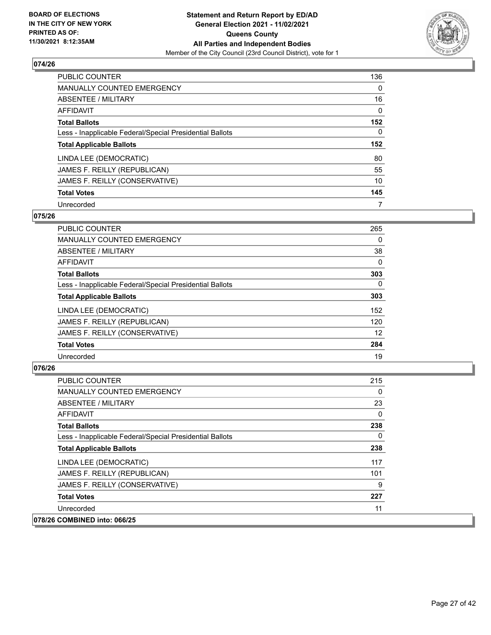

| <b>PUBLIC COUNTER</b>                                    | 136      |
|----------------------------------------------------------|----------|
| <b>MANUALLY COUNTED EMERGENCY</b>                        | $\Omega$ |
| ABSENTEE / MILITARY                                      | 16       |
| AFFIDAVIT                                                | $\Omega$ |
| <b>Total Ballots</b>                                     | 152      |
| Less - Inapplicable Federal/Special Presidential Ballots | 0        |
| <b>Total Applicable Ballots</b>                          | 152      |
| LINDA LEE (DEMOCRATIC)                                   | 80       |
| JAMES F. REILLY (REPUBLICAN)                             | 55       |
| JAMES F. REILLY (CONSERVATIVE)                           | 10       |
| <b>Total Votes</b>                                       | 145      |
| Unrecorded                                               |          |

#### **075/26**

| <b>PUBLIC COUNTER</b>                                    | 265      |
|----------------------------------------------------------|----------|
| <b>MANUALLY COUNTED EMERGENCY</b>                        | 0        |
| ABSENTEE / MILITARY                                      | 38       |
| <b>AFFIDAVIT</b>                                         | $\Omega$ |
| <b>Total Ballots</b>                                     | 303      |
| Less - Inapplicable Federal/Special Presidential Ballots | $\Omega$ |
| <b>Total Applicable Ballots</b>                          | 303      |
| LINDA LEE (DEMOCRATIC)                                   | 152      |
| JAMES F. REILLY (REPUBLICAN)                             | 120      |
| JAMES F. REILLY (CONSERVATIVE)                           | 12       |
| <b>Total Votes</b>                                       | 284      |
| Unrecorded                                               | 19       |

| <b>PUBLIC COUNTER</b>                                    | 215      |
|----------------------------------------------------------|----------|
| MANUALLY COUNTED EMERGENCY                               | 0        |
| ABSENTEE / MILITARY                                      | 23       |
| AFFIDAVIT                                                | 0        |
| <b>Total Ballots</b>                                     | 238      |
| Less - Inapplicable Federal/Special Presidential Ballots | $\Omega$ |
| <b>Total Applicable Ballots</b>                          | 238      |
| LINDA LEE (DEMOCRATIC)                                   | 117      |
| JAMES F. REILLY (REPUBLICAN)                             | 101      |
| JAMES F. REILLY (CONSERVATIVE)                           | 9        |
| <b>Total Votes</b>                                       | 227      |
| Unrecorded                                               | 11       |
| 078/26 COMBINED into: 066/25                             |          |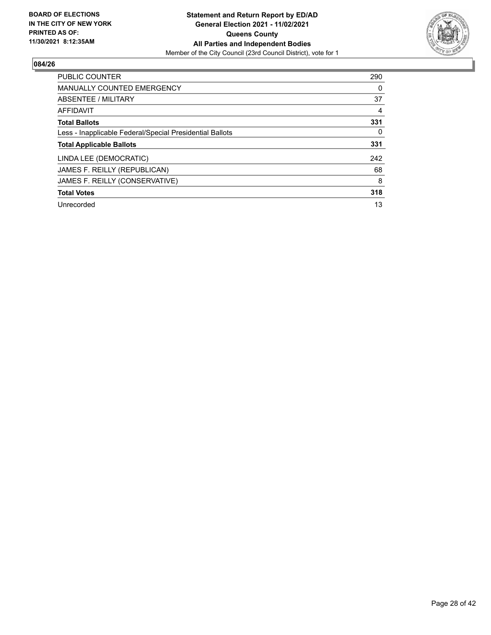

| <b>PUBLIC COUNTER</b>                                    | 290 |
|----------------------------------------------------------|-----|
| <b>MANUALLY COUNTED EMERGENCY</b>                        | 0   |
| ABSENTEE / MILITARY                                      | 37  |
| AFFIDAVIT                                                | 4   |
| <b>Total Ballots</b>                                     | 331 |
| Less - Inapplicable Federal/Special Presidential Ballots | 0   |
| <b>Total Applicable Ballots</b>                          | 331 |
| LINDA LEE (DEMOCRATIC)                                   | 242 |
| JAMES F. REILLY (REPUBLICAN)                             | 68  |
| JAMES F. REILLY (CONSERVATIVE)                           | 8   |
| <b>Total Votes</b>                                       | 318 |
| Unrecorded                                               | 13  |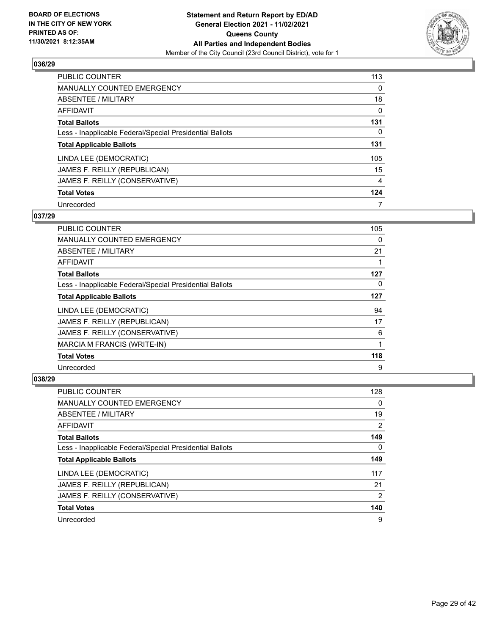

| PUBLIC COUNTER                                           | 113      |
|----------------------------------------------------------|----------|
| <b>MANUALLY COUNTED EMERGENCY</b>                        | $\Omega$ |
| ABSENTEE / MILITARY                                      | 18       |
| AFFIDAVIT                                                | 0        |
| <b>Total Ballots</b>                                     | 131      |
| Less - Inapplicable Federal/Special Presidential Ballots | 0        |
| <b>Total Applicable Ballots</b>                          | 131      |
| LINDA LEE (DEMOCRATIC)                                   | 105      |
| JAMES F. REILLY (REPUBLICAN)                             | 15       |
| JAMES F. REILLY (CONSERVATIVE)                           | 4        |
| <b>Total Votes</b>                                       | 124      |
| Unrecorded                                               | 7        |

#### **037/29**

| <b>PUBLIC COUNTER</b>                                    | 105 |
|----------------------------------------------------------|-----|
| <b>MANUALLY COUNTED EMERGENCY</b>                        | 0   |
| ABSENTEE / MILITARY                                      | 21  |
| AFFIDAVIT                                                |     |
| <b>Total Ballots</b>                                     | 127 |
| Less - Inapplicable Federal/Special Presidential Ballots | 0   |
| <b>Total Applicable Ballots</b>                          | 127 |
| LINDA LEE (DEMOCRATIC)                                   | 94  |
| JAMES F. REILLY (REPUBLICAN)                             | 17  |
| JAMES F. REILLY (CONSERVATIVE)                           | 6   |
| MARCIA M FRANCIS (WRITE-IN)                              |     |
| <b>Total Votes</b>                                       | 118 |
| Unrecorded                                               | 9   |

| <b>PUBLIC COUNTER</b>                                    | 128 |
|----------------------------------------------------------|-----|
| <b>MANUALLY COUNTED EMERGENCY</b>                        | 0   |
| ABSENTEE / MILITARY                                      | 19  |
| AFFIDAVIT                                                | 2   |
| <b>Total Ballots</b>                                     | 149 |
| Less - Inapplicable Federal/Special Presidential Ballots | 0   |
| <b>Total Applicable Ballots</b>                          | 149 |
| LINDA LEE (DEMOCRATIC)                                   | 117 |
| JAMES F. REILLY (REPUBLICAN)                             | 21  |
| JAMES F. REILLY (CONSERVATIVE)                           | 2   |
| <b>Total Votes</b>                                       | 140 |
| Unrecorded                                               | 9   |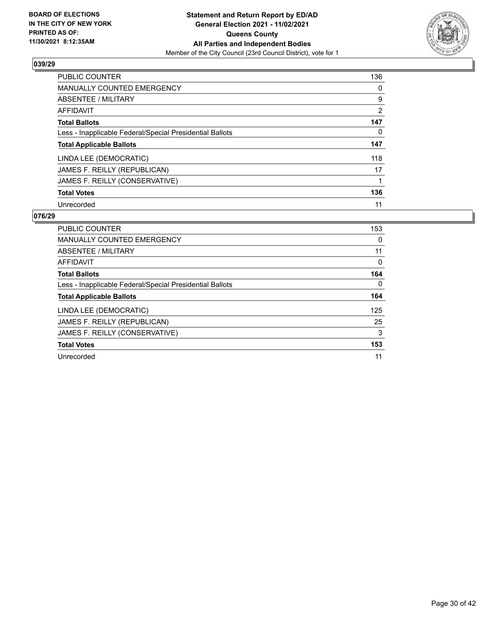

| <b>PUBLIC COUNTER</b>                                    | 136            |
|----------------------------------------------------------|----------------|
| <b>MANUALLY COUNTED EMERGENCY</b>                        | 0              |
| ABSENTEE / MILITARY                                      | 9              |
| AFFIDAVIT                                                | $\overline{2}$ |
| <b>Total Ballots</b>                                     | 147            |
| Less - Inapplicable Federal/Special Presidential Ballots | 0              |
| <b>Total Applicable Ballots</b>                          | 147            |
| LINDA LEE (DEMOCRATIC)                                   | 118            |
| JAMES F. REILLY (REPUBLICAN)                             | 17             |
| JAMES F. REILLY (CONSERVATIVE)                           |                |
| <b>Total Votes</b>                                       | 136            |
|                                                          |                |

| <b>PUBLIC COUNTER</b>                                    | 153 |
|----------------------------------------------------------|-----|
| <b>MANUALLY COUNTED EMERGENCY</b>                        | 0   |
| ABSENTEE / MILITARY                                      | 11  |
| AFFIDAVIT                                                | 0   |
| <b>Total Ballots</b>                                     | 164 |
| Less - Inapplicable Federal/Special Presidential Ballots | 0   |
| <b>Total Applicable Ballots</b>                          | 164 |
| LINDA LEE (DEMOCRATIC)                                   | 125 |
| JAMES F. REILLY (REPUBLICAN)                             | 25  |
| JAMES F. REILLY (CONSERVATIVE)                           | 3   |
| <b>Total Votes</b>                                       | 153 |
| Unrecorded                                               | 11  |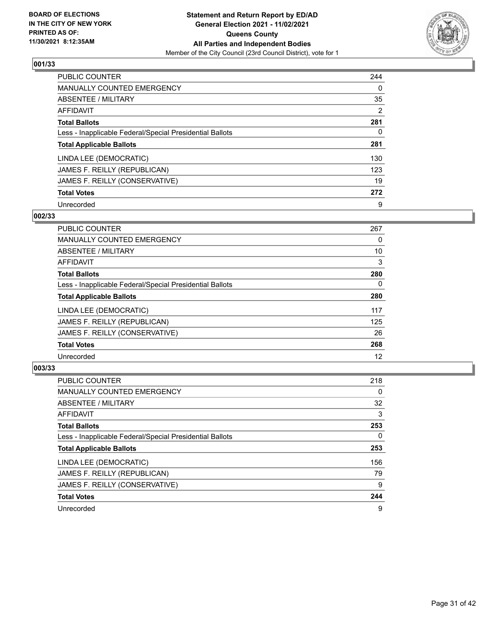

| <b>PUBLIC COUNTER</b>                                    | 244            |
|----------------------------------------------------------|----------------|
| <b>MANUALLY COUNTED EMERGENCY</b>                        | $\Omega$       |
| ABSENTEE / MILITARY                                      | 35             |
| AFFIDAVIT                                                | $\overline{2}$ |
| <b>Total Ballots</b>                                     | 281            |
| Less - Inapplicable Federal/Special Presidential Ballots | 0              |
| <b>Total Applicable Ballots</b>                          | 281            |
| LINDA LEE (DEMOCRATIC)                                   | 130            |
| JAMES F. REILLY (REPUBLICAN)                             | 123            |
| JAMES F. REILLY (CONSERVATIVE)                           | 19             |
| <b>Total Votes</b>                                       | 272            |
| Unrecorded                                               | 9              |

# **002/33**

| <b>PUBLIC COUNTER</b>                                    | 267      |
|----------------------------------------------------------|----------|
| <b>MANUALLY COUNTED EMERGENCY</b>                        | 0        |
| ABSENTEE / MILITARY                                      | 10       |
| <b>AFFIDAVIT</b>                                         | 3        |
| <b>Total Ballots</b>                                     | 280      |
| Less - Inapplicable Federal/Special Presidential Ballots | $\Omega$ |
| <b>Total Applicable Ballots</b>                          | 280      |
| LINDA LEE (DEMOCRATIC)                                   | 117      |
| JAMES F. REILLY (REPUBLICAN)                             | 125      |
| JAMES F. REILLY (CONSERVATIVE)                           | 26       |
| <b>Total Votes</b>                                       | 268      |
| Unrecorded                                               | 12       |

| <b>PUBLIC COUNTER</b>                                    | 218 |
|----------------------------------------------------------|-----|
| <b>MANUALLY COUNTED EMERGENCY</b>                        | 0   |
| ABSENTEE / MILITARY                                      | 32  |
| AFFIDAVIT                                                | 3   |
| <b>Total Ballots</b>                                     | 253 |
| Less - Inapplicable Federal/Special Presidential Ballots | 0   |
| <b>Total Applicable Ballots</b>                          | 253 |
| LINDA LEE (DEMOCRATIC)                                   | 156 |
| JAMES F. REILLY (REPUBLICAN)                             | 79  |
| JAMES F. REILLY (CONSERVATIVE)                           | 9   |
| <b>Total Votes</b>                                       | 244 |
| Unrecorded                                               | 9   |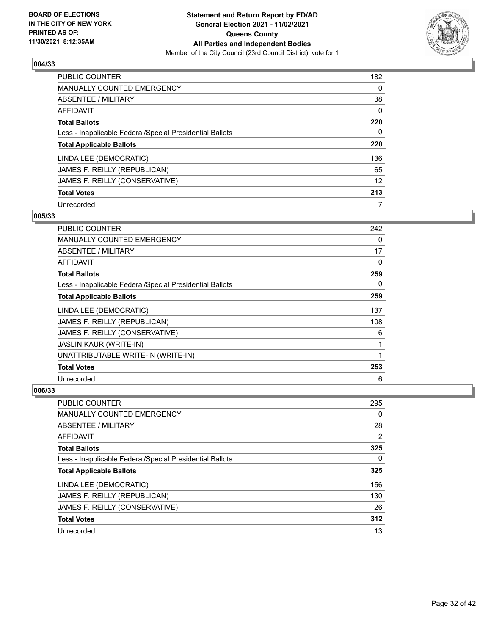

| PUBLIC COUNTER                                           | 182      |
|----------------------------------------------------------|----------|
| <b>MANUALLY COUNTED EMERGENCY</b>                        | 0        |
| ABSENTEE / MILITARY                                      | 38       |
| AFFIDAVIT                                                | $\Omega$ |
| <b>Total Ballots</b>                                     | 220      |
| Less - Inapplicable Federal/Special Presidential Ballots | 0        |
| <b>Total Applicable Ballots</b>                          | 220      |
| LINDA LEE (DEMOCRATIC)                                   | 136      |
| JAMES F. REILLY (REPUBLICAN)                             | 65       |
| JAMES F. REILLY (CONSERVATIVE)                           | 12       |
| <b>Total Votes</b>                                       | 213      |
| Unrecorded                                               | 7        |

#### **005/33**

| <b>PUBLIC COUNTER</b>                                    | 242 |
|----------------------------------------------------------|-----|
| MANUALLY COUNTED EMERGENCY                               | 0   |
| ABSENTEE / MILITARY                                      | 17  |
| AFFIDAVIT                                                | 0   |
| <b>Total Ballots</b>                                     | 259 |
| Less - Inapplicable Federal/Special Presidential Ballots | 0   |
| <b>Total Applicable Ballots</b>                          | 259 |
| LINDA LEE (DEMOCRATIC)                                   | 137 |
| JAMES F. REILLY (REPUBLICAN)                             | 108 |
| JAMES F. REILLY (CONSERVATIVE)                           | 6   |
| <b>JASLIN KAUR (WRITE-IN)</b>                            | 1   |
| UNATTRIBUTABLE WRITE-IN (WRITE-IN)                       | 1   |
| <b>Total Votes</b>                                       | 253 |
| Unrecorded                                               | 6   |

| PUBLIC COUNTER                                           | 295 |
|----------------------------------------------------------|-----|
| <b>MANUALLY COUNTED EMERGENCY</b>                        | 0   |
| ABSENTEE / MILITARY                                      | 28  |
| AFFIDAVIT                                                | 2   |
| <b>Total Ballots</b>                                     | 325 |
| Less - Inapplicable Federal/Special Presidential Ballots | 0   |
| <b>Total Applicable Ballots</b>                          | 325 |
|                                                          |     |
| LINDA LEE (DEMOCRATIC)                                   | 156 |
| JAMES F. REILLY (REPUBLICAN)                             | 130 |
| JAMES F. REILLY (CONSERVATIVE)                           | 26  |
| <b>Total Votes</b>                                       | 312 |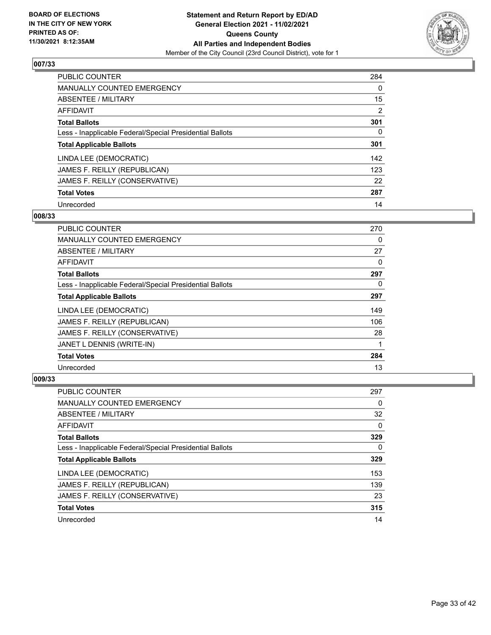

| PUBLIC COUNTER                                           | 284            |
|----------------------------------------------------------|----------------|
| <b>MANUALLY COUNTED EMERGENCY</b>                        | $\Omega$       |
| ABSENTEE / MILITARY                                      | 15             |
| AFFIDAVIT                                                | $\overline{2}$ |
| <b>Total Ballots</b>                                     | 301            |
| Less - Inapplicable Federal/Special Presidential Ballots | 0              |
| <b>Total Applicable Ballots</b>                          | 301            |
| LINDA LEE (DEMOCRATIC)                                   | 142            |
| JAMES F. REILLY (REPUBLICAN)                             | 123            |
| JAMES F. REILLY (CONSERVATIVE)                           | 22             |
| <b>Total Votes</b>                                       | 287            |
| Unrecorded                                               | 14             |

#### **008/33**

| <b>PUBLIC COUNTER</b>                                    | 270 |
|----------------------------------------------------------|-----|
| <b>MANUALLY COUNTED EMERGENCY</b>                        | 0   |
| ABSENTEE / MILITARY                                      | 27  |
| AFFIDAVIT                                                | 0   |
| <b>Total Ballots</b>                                     | 297 |
| Less - Inapplicable Federal/Special Presidential Ballots | 0   |
| <b>Total Applicable Ballots</b>                          | 297 |
| LINDA LEE (DEMOCRATIC)                                   | 149 |
| JAMES F. REILLY (REPUBLICAN)                             | 106 |
| JAMES F. REILLY (CONSERVATIVE)                           | 28  |
| JANET L DENNIS (WRITE-IN)                                | 1   |
| <b>Total Votes</b>                                       | 284 |
| Unrecorded                                               | 13  |

| <b>PUBLIC COUNTER</b>                                    | 297      |
|----------------------------------------------------------|----------|
| <b>MANUALLY COUNTED EMERGENCY</b>                        | 0        |
| ABSENTEE / MILITARY                                      | 32       |
| AFFIDAVIT                                                | $\Omega$ |
| <b>Total Ballots</b>                                     | 329      |
| Less - Inapplicable Federal/Special Presidential Ballots | 0        |
| <b>Total Applicable Ballots</b>                          | 329      |
| LINDA LEE (DEMOCRATIC)                                   | 153      |
| JAMES F. REILLY (REPUBLICAN)                             | 139      |
| JAMES F. REILLY (CONSERVATIVE)                           | 23       |
| <b>Total Votes</b>                                       | 315      |
| Unrecorded                                               | 14       |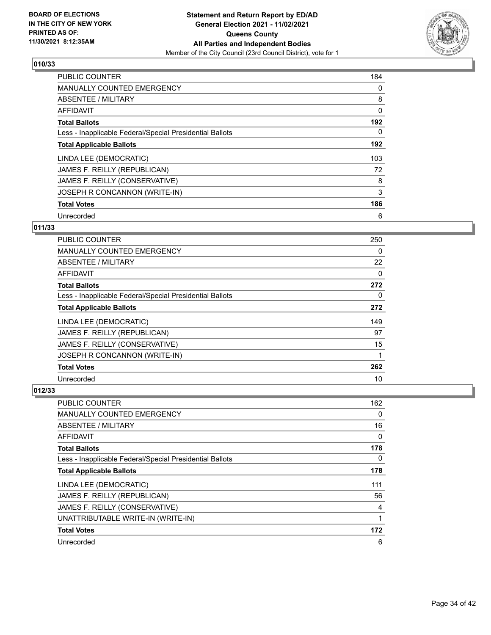

| <b>PUBLIC COUNTER</b>                                    | 184 |
|----------------------------------------------------------|-----|
| <b>MANUALLY COUNTED EMERGENCY</b>                        | 0   |
| ABSENTEE / MILITARY                                      | 8   |
| <b>AFFIDAVIT</b>                                         | 0   |
| <b>Total Ballots</b>                                     | 192 |
| Less - Inapplicable Federal/Special Presidential Ballots | 0   |
| <b>Total Applicable Ballots</b>                          | 192 |
| LINDA LEE (DEMOCRATIC)                                   | 103 |
| JAMES F. REILLY (REPUBLICAN)                             | 72  |
| JAMES F. REILLY (CONSERVATIVE)                           | 8   |
| JOSEPH R CONCANNON (WRITE-IN)                            | 3   |
| <b>Total Votes</b>                                       | 186 |
| Unrecorded                                               | 6   |

# **011/33**

| PUBLIC COUNTER                                           | 250      |
|----------------------------------------------------------|----------|
| <b>MANUALLY COUNTED EMERGENCY</b>                        | 0        |
| ABSENTEE / MILITARY                                      | 22       |
| AFFIDAVIT                                                | 0        |
| <b>Total Ballots</b>                                     | 272      |
| Less - Inapplicable Federal/Special Presidential Ballots | $\Omega$ |
| <b>Total Applicable Ballots</b>                          | 272      |
| LINDA LEE (DEMOCRATIC)                                   | 149      |
| JAMES F. REILLY (REPUBLICAN)                             | 97       |
| JAMES F. REILLY (CONSERVATIVE)                           | 15       |
| JOSEPH R CONCANNON (WRITE-IN)                            |          |
| <b>Total Votes</b>                                       | 262      |
| Unrecorded                                               | 10       |

| PUBLIC COUNTER                                           | 162 |
|----------------------------------------------------------|-----|
| MANUALLY COUNTED EMERGENCY                               | 0   |
| ABSENTEE / MILITARY                                      | 16  |
| <b>AFFIDAVIT</b>                                         | 0   |
| <b>Total Ballots</b>                                     | 178 |
| Less - Inapplicable Federal/Special Presidential Ballots | 0   |
| <b>Total Applicable Ballots</b>                          | 178 |
| LINDA LEE (DEMOCRATIC)                                   | 111 |
| JAMES F. REILLY (REPUBLICAN)                             | 56  |
| JAMES F. REILLY (CONSERVATIVE)                           | 4   |
| UNATTRIBUTABLE WRITE-IN (WRITE-IN)                       | 1   |
| <b>Total Votes</b>                                       | 172 |
| Unrecorded                                               | 6   |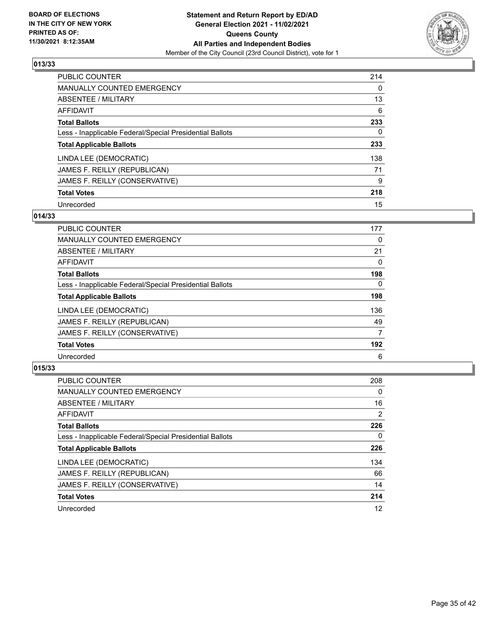

| PUBLIC COUNTER                                           | 214      |
|----------------------------------------------------------|----------|
| <b>MANUALLY COUNTED EMERGENCY</b>                        | $\Omega$ |
| ABSENTEE / MILITARY                                      | 13       |
| AFFIDAVIT                                                | 6        |
| <b>Total Ballots</b>                                     | 233      |
| Less - Inapplicable Federal/Special Presidential Ballots | 0        |
| <b>Total Applicable Ballots</b>                          | 233      |
| LINDA LEE (DEMOCRATIC)                                   | 138      |
| JAMES F. REILLY (REPUBLICAN)                             | 71       |
| JAMES F. REILLY (CONSERVATIVE)                           | 9        |
| <b>Total Votes</b>                                       | 218      |
| Unrecorded                                               | 15       |

#### **014/33**

| <b>PUBLIC COUNTER</b>                                    | 177      |
|----------------------------------------------------------|----------|
| MANUALLY COUNTED EMERGENCY                               | 0        |
| ABSENTEE / MILITARY                                      | 21       |
| AFFIDAVIT                                                | 0        |
| <b>Total Ballots</b>                                     | 198      |
| Less - Inapplicable Federal/Special Presidential Ballots | $\Omega$ |
| <b>Total Applicable Ballots</b>                          | 198      |
| LINDA LEE (DEMOCRATIC)                                   | 136      |
| JAMES F. REILLY (REPUBLICAN)                             | 49       |
| JAMES F. REILLY (CONSERVATIVE)                           | 7        |
| <b>Total Votes</b>                                       | 192      |
| Unrecorded                                               | 6        |

| <b>PUBLIC COUNTER</b>                                    | 208            |
|----------------------------------------------------------|----------------|
| <b>MANUALLY COUNTED EMERGENCY</b>                        | $\Omega$       |
| ABSENTEE / MILITARY                                      | 16             |
| AFFIDAVIT                                                | $\overline{2}$ |
| <b>Total Ballots</b>                                     | 226            |
| Less - Inapplicable Federal/Special Presidential Ballots | 0              |
| <b>Total Applicable Ballots</b>                          | 226            |
| LINDA LEE (DEMOCRATIC)                                   | 134            |
| JAMES F. REILLY (REPUBLICAN)                             | 66             |
| JAMES F. REILLY (CONSERVATIVE)                           | 14             |
| <b>Total Votes</b>                                       | 214            |
| Unrecorded                                               | 12             |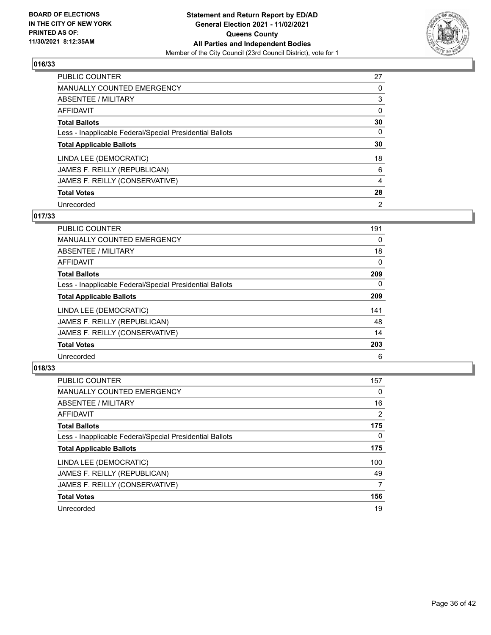

| PUBLIC COUNTER                                           | 27             |
|----------------------------------------------------------|----------------|
| <b>MANUALLY COUNTED EMERGENCY</b>                        | 0              |
| ABSENTEE / MILITARY                                      | 3              |
| AFFIDAVIT                                                | $\Omega$       |
| <b>Total Ballots</b>                                     | 30             |
| Less - Inapplicable Federal/Special Presidential Ballots | $\Omega$       |
| <b>Total Applicable Ballots</b>                          | 30             |
| LINDA LEE (DEMOCRATIC)                                   | 18             |
| JAMES F. REILLY (REPUBLICAN)                             | 6              |
| JAMES F. REILLY (CONSERVATIVE)                           | $\overline{4}$ |
| <b>Total Votes</b>                                       | 28             |
| Unrecorded                                               | $\overline{2}$ |

#### **017/33**

| <b>PUBLIC COUNTER</b>                                    | 191      |
|----------------------------------------------------------|----------|
| <b>MANUALLY COUNTED EMERGENCY</b>                        | $\Omega$ |
| ABSENTEE / MILITARY                                      | 18       |
| <b>AFFIDAVIT</b>                                         | 0        |
| <b>Total Ballots</b>                                     | 209      |
| Less - Inapplicable Federal/Special Presidential Ballots | $\Omega$ |
| <b>Total Applicable Ballots</b>                          | 209      |
| LINDA LEE (DEMOCRATIC)                                   | 141      |
| JAMES F. REILLY (REPUBLICAN)                             | 48       |
| JAMES F. REILLY (CONSERVATIVE)                           | 14       |
| <b>Total Votes</b>                                       | 203      |
| Unrecorded                                               | 6        |

| <b>PUBLIC COUNTER</b>                                    | 157            |
|----------------------------------------------------------|----------------|
| <b>MANUALLY COUNTED EMERGENCY</b>                        | $\Omega$       |
| ABSENTEE / MILITARY                                      | 16             |
| <b>AFFIDAVIT</b>                                         | $\overline{2}$ |
| <b>Total Ballots</b>                                     | 175            |
| Less - Inapplicable Federal/Special Presidential Ballots | $\Omega$       |
| <b>Total Applicable Ballots</b>                          | 175            |
| LINDA LEE (DEMOCRATIC)                                   | 100            |
| JAMES F. REILLY (REPUBLICAN)                             | 49             |
| JAMES F. REILLY (CONSERVATIVE)                           | 7              |
| <b>Total Votes</b>                                       | 156            |
| Unrecorded                                               | 19             |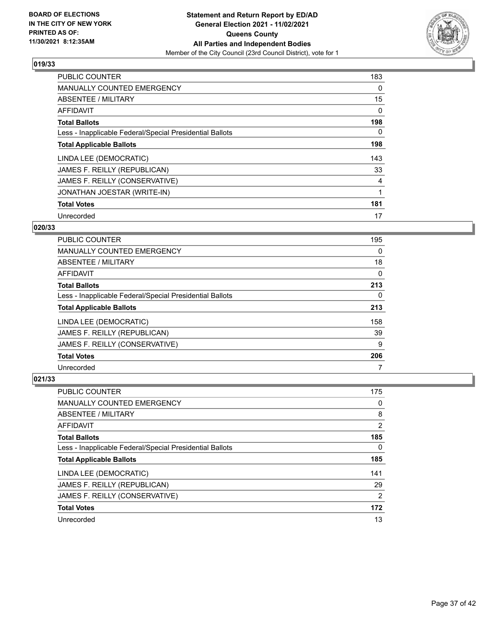

| <b>PUBLIC COUNTER</b>                                    | 183 |
|----------------------------------------------------------|-----|
| <b>MANUALLY COUNTED EMERGENCY</b>                        | 0   |
| ABSENTEE / MILITARY                                      | 15  |
| AFFIDAVIT                                                | 0   |
| <b>Total Ballots</b>                                     | 198 |
| Less - Inapplicable Federal/Special Presidential Ballots | 0   |
| <b>Total Applicable Ballots</b>                          | 198 |
| LINDA LEE (DEMOCRATIC)                                   | 143 |
| JAMES F. REILLY (REPUBLICAN)                             | 33  |
| JAMES F. REILLY (CONSERVATIVE)                           | 4   |
| JONATHAN JOESTAR (WRITE-IN)                              |     |
| <b>Total Votes</b>                                       | 181 |
| Unrecorded                                               | 17  |

# **020/33**

| <b>PUBLIC COUNTER</b>                                    | 195 |
|----------------------------------------------------------|-----|
| <b>MANUALLY COUNTED EMERGENCY</b>                        | 0   |
| ABSENTEE / MILITARY                                      | 18  |
| AFFIDAVIT                                                | 0   |
| <b>Total Ballots</b>                                     | 213 |
| Less - Inapplicable Federal/Special Presidential Ballots | 0   |
| <b>Total Applicable Ballots</b>                          | 213 |
| LINDA LEE (DEMOCRATIC)                                   | 158 |
| JAMES F. REILLY (REPUBLICAN)                             | 39  |
| JAMES F. REILLY (CONSERVATIVE)                           | 9   |
| <b>Total Votes</b>                                       | 206 |
| Unrecorded                                               | 7   |

| <b>PUBLIC COUNTER</b>                                    | 175           |
|----------------------------------------------------------|---------------|
| <b>MANUALLY COUNTED EMERGENCY</b>                        | $\Omega$      |
| ABSENTEE / MILITARY                                      | 8             |
| AFFIDAVIT                                                | 2             |
| <b>Total Ballots</b>                                     | 185           |
| Less - Inapplicable Federal/Special Presidential Ballots | $\Omega$      |
| <b>Total Applicable Ballots</b>                          | 185           |
| LINDA LEE (DEMOCRATIC)                                   | 141           |
| JAMES F. REILLY (REPUBLICAN)                             | 29            |
| JAMES F. REILLY (CONSERVATIVE)                           | $\mathcal{P}$ |
| <b>Total Votes</b>                                       | 172           |
| Unrecorded                                               | 13            |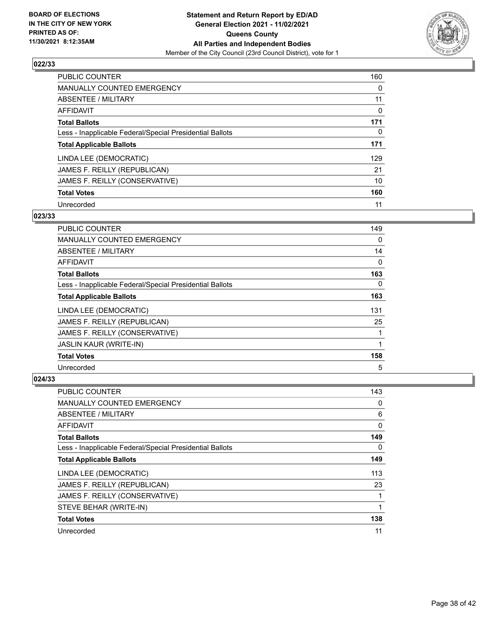

| PUBLIC COUNTER                                           | 160      |
|----------------------------------------------------------|----------|
| <b>MANUALLY COUNTED EMERGENCY</b>                        | $\Omega$ |
| ABSENTEE / MILITARY                                      | 11       |
| AFFIDAVIT                                                | 0        |
| <b>Total Ballots</b>                                     | 171      |
| Less - Inapplicable Federal/Special Presidential Ballots | 0        |
| <b>Total Applicable Ballots</b>                          | 171      |
| LINDA LEE (DEMOCRATIC)                                   | 129      |
| JAMES F. REILLY (REPUBLICAN)                             | 21       |
| JAMES F. REILLY (CONSERVATIVE)                           | 10       |
| <b>Total Votes</b>                                       | 160      |
| Unrecorded                                               | 11       |

#### **023/33**

| PUBLIC COUNTER                                           | 149      |
|----------------------------------------------------------|----------|
| <b>MANUALLY COUNTED EMERGENCY</b>                        | 0        |
| ABSENTEE / MILITARY                                      | 14       |
| AFFIDAVIT                                                | 0        |
| <b>Total Ballots</b>                                     | 163      |
| Less - Inapplicable Federal/Special Presidential Ballots | $\Omega$ |
| <b>Total Applicable Ballots</b>                          | 163      |
| LINDA LEE (DEMOCRATIC)                                   | 131      |
| JAMES F. REILLY (REPUBLICAN)                             | 25       |
| JAMES F. REILLY (CONSERVATIVE)                           | 1        |
| JASLIN KAUR (WRITE-IN)                                   |          |
| <b>Total Votes</b>                                       | 158      |
| Unrecorded                                               | 5        |

| PUBLIC COUNTER                                           | 143 |
|----------------------------------------------------------|-----|
| MANUALLY COUNTED EMERGENCY                               | 0   |
| ABSENTEE / MILITARY                                      | 6   |
| AFFIDAVIT                                                | 0   |
| <b>Total Ballots</b>                                     | 149 |
| Less - Inapplicable Federal/Special Presidential Ballots | 0   |
| <b>Total Applicable Ballots</b>                          | 149 |
| LINDA LEE (DEMOCRATIC)                                   | 113 |
| JAMES F. REILLY (REPUBLICAN)                             | 23  |
| JAMES F. REILLY (CONSERVATIVE)                           |     |
| STEVE BEHAR (WRITE-IN)                                   |     |
| <b>Total Votes</b>                                       | 138 |
| Unrecorded                                               | 11  |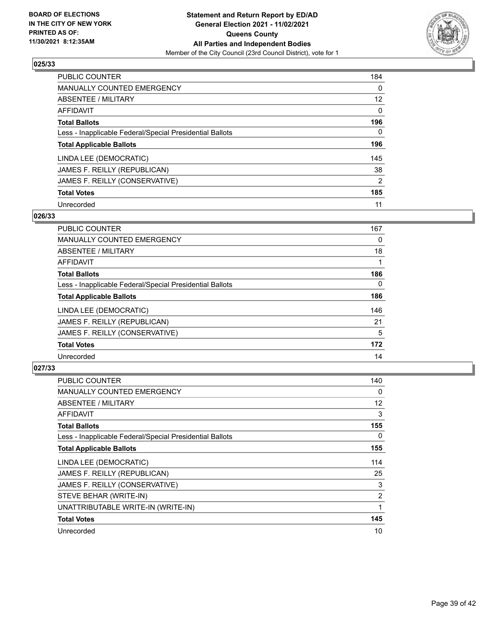

| <b>PUBLIC COUNTER</b>                                    | 184      |
|----------------------------------------------------------|----------|
| <b>MANUALLY COUNTED EMERGENCY</b>                        | $\Omega$ |
| <b>ABSENTEE / MILITARY</b>                               | 12       |
| AFFIDAVIT                                                | $\Omega$ |
| <b>Total Ballots</b>                                     | 196      |
| Less - Inapplicable Federal/Special Presidential Ballots | 0        |
| <b>Total Applicable Ballots</b>                          | 196      |
| LINDA LEE (DEMOCRATIC)                                   | 145      |
| JAMES F. REILLY (REPUBLICAN)                             | 38       |
| JAMES F. REILLY (CONSERVATIVE)                           | 2        |
| <b>Total Votes</b>                                       | 185      |
| Unrecorded                                               | 11       |

#### **026/33**

| <b>PUBLIC COUNTER</b>                                    | 167      |
|----------------------------------------------------------|----------|
| <b>MANUALLY COUNTED EMERGENCY</b>                        | 0        |
| ABSENTEE / MILITARY                                      | 18       |
| <b>AFFIDAVIT</b>                                         |          |
| <b>Total Ballots</b>                                     | 186      |
| Less - Inapplicable Federal/Special Presidential Ballots | $\Omega$ |
| <b>Total Applicable Ballots</b>                          | 186      |
| LINDA LEE (DEMOCRATIC)                                   | 146      |
| JAMES F. REILLY (REPUBLICAN)                             | 21       |
| JAMES F. REILLY (CONSERVATIVE)                           | 5        |
| <b>Total Votes</b>                                       | 172      |
| Unrecorded                                               | 14       |

| <b>PUBLIC COUNTER</b>                                    | 140 |
|----------------------------------------------------------|-----|
| <b>MANUALLY COUNTED EMERGENCY</b>                        | 0   |
| ABSENTEE / MILITARY                                      | 12  |
| AFFIDAVIT                                                | 3   |
| <b>Total Ballots</b>                                     | 155 |
| Less - Inapplicable Federal/Special Presidential Ballots | 0   |
| <b>Total Applicable Ballots</b>                          | 155 |
| LINDA LEE (DEMOCRATIC)                                   | 114 |
| JAMES F. REILLY (REPUBLICAN)                             | 25  |
| JAMES F. REILLY (CONSERVATIVE)                           | 3   |
| STEVE BEHAR (WRITE-IN)                                   | 2   |
| UNATTRIBUTABLE WRITE-IN (WRITE-IN)                       | 1   |
| <b>Total Votes</b>                                       | 145 |
| Unrecorded                                               | 10  |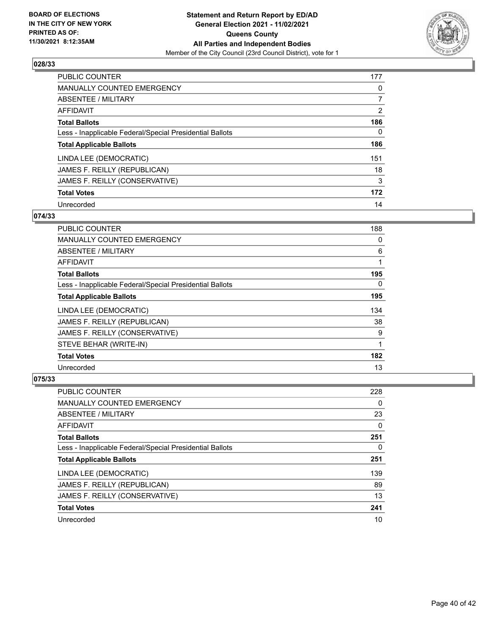

| <b>PUBLIC COUNTER</b>                                    | 177            |
|----------------------------------------------------------|----------------|
| <b>MANUALLY COUNTED EMERGENCY</b>                        | 0              |
| <b>ABSENTEE / MILITARY</b>                               |                |
| AFFIDAVIT                                                | $\overline{2}$ |
| <b>Total Ballots</b>                                     | 186            |
| Less - Inapplicable Federal/Special Presidential Ballots | 0              |
| <b>Total Applicable Ballots</b>                          | 186            |
| LINDA LEE (DEMOCRATIC)                                   | 151            |
| JAMES F. REILLY (REPUBLICAN)                             | 18             |
| JAMES F. REILLY (CONSERVATIVE)                           | 3              |
| <b>Total Votes</b>                                       | 172            |
| Unrecorded                                               | 14             |

#### **074/33**

| PUBLIC COUNTER                                           | 188      |
|----------------------------------------------------------|----------|
| <b>MANUALLY COUNTED EMERGENCY</b>                        | 0        |
| ABSENTEE / MILITARY                                      | 6        |
| AFFIDAVIT                                                | 1        |
| <b>Total Ballots</b>                                     | 195      |
| Less - Inapplicable Federal/Special Presidential Ballots | $\Omega$ |
| <b>Total Applicable Ballots</b>                          | 195      |
| LINDA LEE (DEMOCRATIC)                                   | 134      |
| JAMES F. REILLY (REPUBLICAN)                             | 38       |
| JAMES F. REILLY (CONSERVATIVE)                           | 9        |
| STEVE BEHAR (WRITE-IN)                                   | 1        |
| <b>Total Votes</b>                                       | 182      |
| Unrecorded                                               | 13       |

| <b>PUBLIC COUNTER</b>                                    | 228 |
|----------------------------------------------------------|-----|
| <b>MANUALLY COUNTED EMERGENCY</b>                        | 0   |
| ABSENTEE / MILITARY                                      | 23  |
| AFFIDAVIT                                                | 0   |
| <b>Total Ballots</b>                                     | 251 |
| Less - Inapplicable Federal/Special Presidential Ballots | 0   |
| <b>Total Applicable Ballots</b>                          | 251 |
| LINDA LEE (DEMOCRATIC)                                   | 139 |
| JAMES F. REILLY (REPUBLICAN)                             | 89  |
| JAMES F. REILLY (CONSERVATIVE)                           | 13  |
| <b>Total Votes</b>                                       | 241 |
| Unrecorded                                               | 10  |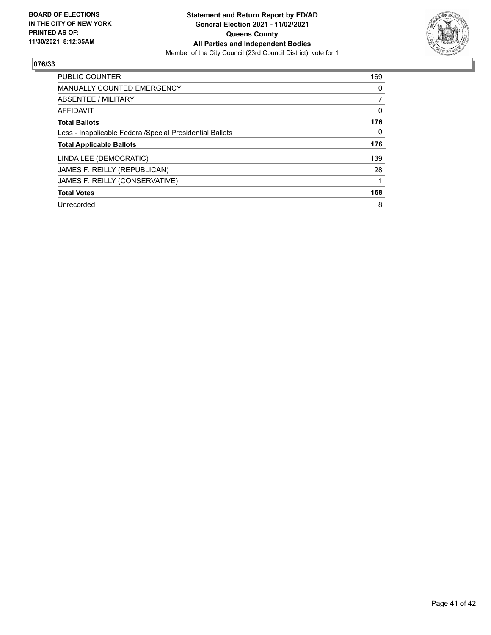

| <b>PUBLIC COUNTER</b>                                    | 169      |
|----------------------------------------------------------|----------|
| <b>MANUALLY COUNTED EMERGENCY</b>                        | 0        |
| ABSENTEE / MILITARY                                      |          |
| <b>AFFIDAVIT</b>                                         | 0        |
| <b>Total Ballots</b>                                     | 176      |
| Less - Inapplicable Federal/Special Presidential Ballots | $\Omega$ |
| <b>Total Applicable Ballots</b>                          | 176      |
| LINDA LEE (DEMOCRATIC)                                   | 139      |
| JAMES F. REILLY (REPUBLICAN)                             | 28       |
| JAMES F. REILLY (CONSERVATIVE)                           |          |
| <b>Total Votes</b>                                       | 168      |
| Unrecorded                                               | 8        |